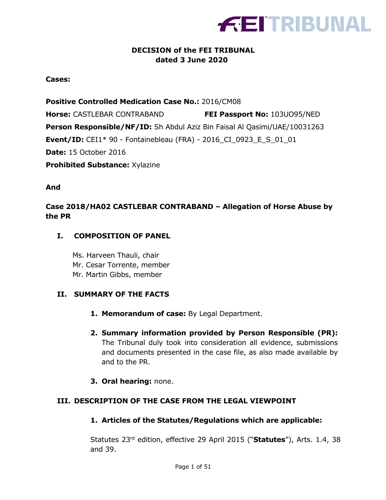

## **DECISION of the FEI TRIBUNAL dated 3 June 2020**

**Cases:**

**Positive Controlled Medication Case No.:** 2016/CM08

**Horse:** CASTLEBAR CONTRABAND **FEI Passport No:** 103UO95/NED **Person Responsible/NF/ID:** Sh Abdul Aziz Bin Faisal Al Qasimi/UAE/10031263 **Event/ID:** CEI1\* 90 - Fontainebleau (FRA) - 2016\_CI\_0923\_E\_S\_01\_01 **Date:** 15 October 2016 **Prohibited Substance:** Xylazine

**And**

**Case 2018/HA02 CASTLEBAR CONTRABAND – Allegation of Horse Abuse by the PR**

#### **I. COMPOSITION OF PANEL**

Ms. Harveen Thauli, chair Mr. Cesar Torrente, member Mr. Martin Gibbs, member

## **II. SUMMARY OF THE FACTS**

- **1. Memorandum of case:** By Legal Department.
- **2. Summary information provided by Person Responsible (PR):** The Tribunal duly took into consideration all evidence, submissions and documents presented in the case file, as also made available by and to the PR.
- **3. Oral hearing:** none.

#### **III. DESCRIPTION OF THE CASE FROM THE LEGAL VIEWPOINT**

#### **1. Articles of the Statutes/Regulations which are applicable:**

Statutes 23rd edition, effective 29 April 2015 ("**Statutes**"), Arts. 1.4, 38 and 39.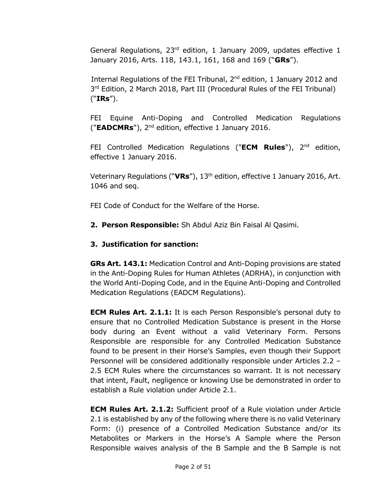General Regulations, 23<sup>rd</sup> edition, 1 January 2009, updates effective 1 January 2016, Arts. 118, 143.1, 161, 168 and 169 ("**GRs**").

Internal Regulations of the FEI Tribunal, 2<sup>nd</sup> edition, 1 January 2012 and 3<sup>rd</sup> Edition, 2 March 2018, Part III (Procedural Rules of the FEI Tribunal) ("**IRs**").

FEI Equine Anti-Doping and Controlled Medication Regulations ("**EADCMRs**"), 2nd edition, effective 1 January 2016.

FEI Controlled Medication Regulations ("**ECM Rules**"), 2nd edition, effective 1 January 2016.

Veterinary Regulations ("**VRs**"), 13th edition, effective 1 January 2016, Art. 1046 and seq.

FEI Code of Conduct for the Welfare of the Horse.

**2. Person Responsible:** Sh Abdul Aziz Bin Faisal Al Qasimi.

## **3. Justification for sanction:**

**GRs Art. 143.1:** Medication Control and Anti-Doping provisions are stated in the Anti-Doping Rules for Human Athletes (ADRHA), in conjunction with the World Anti-Doping Code, and in the Equine Anti-Doping and Controlled Medication Regulations (EADCM Regulations).

**ECM Rules Art. 2.1.1:** It is each Person Responsible's personal duty to ensure that no Controlled Medication Substance is present in the Horse body during an Event without a valid Veterinary Form. Persons Responsible are responsible for any Controlled Medication Substance found to be present in their Horse's Samples, even though their Support Personnel will be considered additionally responsible under Articles 2.2 – 2.5 ECM Rules where the circumstances so warrant. It is not necessary that intent, Fault, negligence or knowing Use be demonstrated in order to establish a Rule violation under Article 2.1.

**ECM Rules Art. 2.1.2:** Sufficient proof of a Rule violation under Article 2.1 is established by any of the following where there is no valid Veterinary Form: (i) presence of a Controlled Medication Substance and/or its Metabolites or Markers in the Horse's A Sample where the Person Responsible waives analysis of the B Sample and the B Sample is not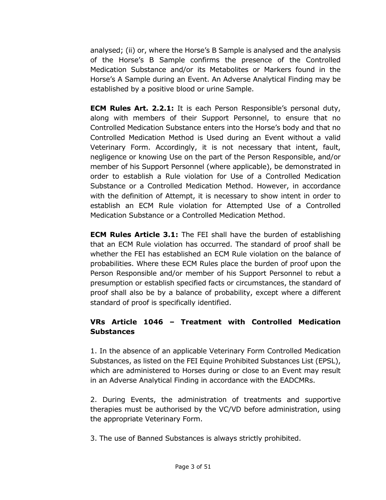analysed; (ii) or, where the Horse's B Sample is analysed and the analysis of the Horse's B Sample confirms the presence of the Controlled Medication Substance and/or its Metabolites or Markers found in the Horse's A Sample during an Event. An Adverse Analytical Finding may be established by a positive blood or urine Sample.

**ECM Rules Art. 2.2.1:** It is each Person Responsible's personal duty, along with members of their Support Personnel, to ensure that no Controlled Medication Substance enters into the Horse's body and that no Controlled Medication Method is Used during an Event without a valid Veterinary Form. Accordingly, it is not necessary that intent, fault, negligence or knowing Use on the part of the Person Responsible, and/or member of his Support Personnel (where applicable), be demonstrated in order to establish a Rule violation for Use of a Controlled Medication Substance or a Controlled Medication Method. However, in accordance with the definition of Attempt, it is necessary to show intent in order to establish an ECM Rule violation for Attempted Use of a Controlled Medication Substance or a Controlled Medication Method.

**ECM Rules Article 3.1:** The FEI shall have the burden of establishing that an ECM Rule violation has occurred. The standard of proof shall be whether the FEI has established an ECM Rule violation on the balance of probabilities. Where these ECM Rules place the burden of proof upon the Person Responsible and/or member of his Support Personnel to rebut a presumption or establish specified facts or circumstances, the standard of proof shall also be by a balance of probability, except where a different standard of proof is specifically identified.

# **VRs Article 1046 – Treatment with Controlled Medication Substances**

1. In the absence of an applicable Veterinary Form Controlled Medication Substances, as listed on the FEI Equine Prohibited Substances List (EPSL), which are administered to Horses during or close to an Event may result in an Adverse Analytical Finding in accordance with the EADCMRs.

2. During Events, the administration of treatments and supportive therapies must be authorised by the VC/VD before administration, using the appropriate Veterinary Form.

3. The use of Banned Substances is always strictly prohibited.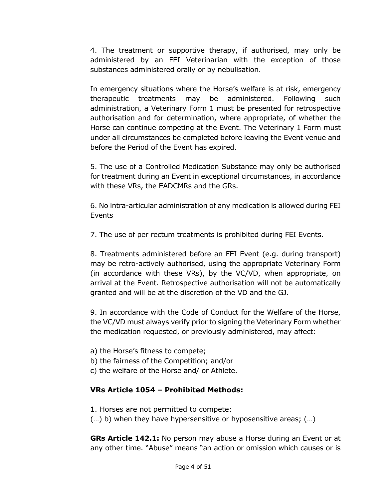4. The treatment or supportive therapy, if authorised, may only be administered by an FEI Veterinarian with the exception of those substances administered orally or by nebulisation.

In emergency situations where the Horse's welfare is at risk, emergency therapeutic treatments may be administered. Following such administration, a Veterinary Form 1 must be presented for retrospective authorisation and for determination, where appropriate, of whether the Horse can continue competing at the Event. The Veterinary 1 Form must under all circumstances be completed before leaving the Event venue and before the Period of the Event has expired.

5. The use of a Controlled Medication Substance may only be authorised for treatment during an Event in exceptional circumstances, in accordance with these VRs, the EADCMRs and the GRs.

6. No intra-articular administration of any medication is allowed during FEI Events

7. The use of per rectum treatments is prohibited during FEI Events.

8. Treatments administered before an FEI Event (e.g. during transport) may be retro-actively authorised, using the appropriate Veterinary Form (in accordance with these VRs), by the VC/VD, when appropriate, on arrival at the Event. Retrospective authorisation will not be automatically granted and will be at the discretion of the VD and the GJ.

9. In accordance with the Code of Conduct for the Welfare of the Horse, the VC/VD must always verify prior to signing the Veterinary Form whether the medication requested, or previously administered, may affect:

a) the Horse's fitness to compete;

b) the fairness of the Competition; and/or

c) the welfare of the Horse and/ or Athlete.

## **VRs Article 1054 – Prohibited Methods:**

1. Horses are not permitted to compete:

(…) b) when they have hypersensitive or hyposensitive areas; (…)

**GRs Article 142.1:** No person may abuse a Horse during an Event or at any other time. "Abuse" means "an action or omission which causes or is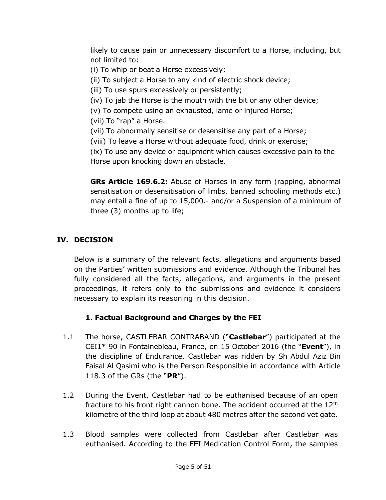likely to cause pain or unnecessary discomfort to a Horse, including, but not limited to:

- (i) To whip or beat a Horse excessively;
- (ii) To subject a Horse to any kind of electric shock device;
- (iii) To use spurs excessively or persistently;
- (iv) To jab the Horse is the mouth with the bit or any other device;
- (v) To compete using an exhausted, lame or injured Horse;
- (vii) To "rap" a Horse.
- (vii) To abnormally sensitise or desensitise any part of a Horse;
- (viii) To leave a Horse without adequate food, drink or exercise;

(ix) To use any device or equipment which causes excessive pain to the Horse upon knocking down an obstacle.

**GRs Article 169.6.2:** Abuse of Horses in any form (rapping, abnormal sensitisation or desensitisation of limbs, banned schooling methods etc.) may entail a fine of up to 15,000.- and/or a Suspension of a minimum of three (3) months up to life;

## **IV. DECISION**

Below is a summary of the relevant facts, allegations and arguments based on the Parties' written submissions and evidence. Although the Tribunal has fully considered all the facts, allegations, and arguments in the present proceedings, it refers only to the submissions and evidence it considers necessary to explain its reasoning in this decision.

# **1. Factual Background and Charges by the FEI**

- 1.1 The horse, CASTLEBAR CONTRABAND ("**Castlebar**") participated at the CEI1\* 90 in Fontainebleau, France, on 15 October 2016 (the "**Event**"), in the discipline of Endurance. Castlebar was ridden by Sh Abdul Aziz Bin Faisal Al Qasimi who is the Person Responsible in accordance with Article 118.3 of the GRs (the "**PR**").
- 1.2 During the Event, Castlebar had to be euthanised because of an open fracture to his front right cannon bone. The accident occurred at the  $12<sup>th</sup>$ kilometre of the third loop at about 480 metres after the second vet gate.
- 1.3 Blood samples were collected from Castlebar after Castlebar was euthanised. According to the FEI Medication Control Form, the samples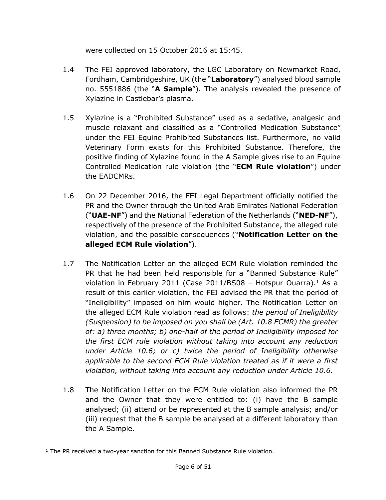were collected on 15 October 2016 at 15:45.

- 1.4 The FEI approved laboratory, the LGC Laboratory on Newmarket Road, Fordham, Cambridgeshire, UK (the "**Laboratory**") analysed blood sample no. 5551886 (the "**A Sample**"). The analysis revealed the presence of Xylazine in Castlebar's plasma.
- 1.5 Xylazine is a "Prohibited Substance" used as a sedative, analgesic and muscle relaxant and classified as a "Controlled Medication Substance" under the FEI Equine Prohibited Substances list. Furthermore, no valid Veterinary Form exists for this Prohibited Substance. Therefore, the positive finding of Xylazine found in the A Sample gives rise to an Equine Controlled Medication rule violation (the "**ECM Rule violation**") under the EADCMRs.
- 1.6 On 22 December 2016, the FEI Legal Department officially notified the PR and the Owner through the United Arab Emirates National Federation ("**UAE-NF**") and the National Federation of the Netherlands ("**NED-NF**"), respectively of the presence of the Prohibited Substance, the alleged rule violation, and the possible consequences ("**Notification Letter on the alleged ECM Rule violation**").
- 1.7 The Notification Letter on the alleged ECM Rule violation reminded the PR that he had been held responsible for a "Banned Substance Rule" violation in February 2011 (Case 2011/BS08 – Hotspur Ouarra). <sup>1</sup> As a result of this earlier violation, the FEI advised the PR that the period of "Ineligibility" imposed on him would higher. The Notification Letter on the alleged ECM Rule violation read as follows: *the period of Ineligibility (Suspension) to be imposed on you shall be (Art. 10.8 ECMR) the greater of: a) three months; b) one-half of the period of Ineligibility imposed for the first ECM rule violation without taking into account any reduction under Article 10.6; or c) twice the period of Ineligibility otherwise applicable to the second ECM Rule violation treated as if it were a first violation, without taking into account any reduction under Article 10.6.*
- 1.8 The Notification Letter on the ECM Rule violation also informed the PR and the Owner that they were entitled to: (i) have the B sample analysed; (ii) attend or be represented at the B sample analysis; and/or (iii) request that the B sample be analysed at a different laboratory than the A Sample.

 $1$  The PR received a two-year sanction for this Banned Substance Rule violation.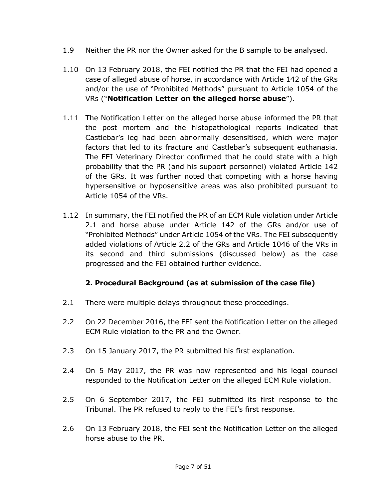- 1.9 Neither the PR nor the Owner asked for the B sample to be analysed.
- 1.10 On 13 February 2018, the FEI notified the PR that the FEI had opened a case of alleged abuse of horse, in accordance with Article 142 of the GRs and/or the use of "Prohibited Methods" pursuant to Article 1054 of the VRs ("**Notification Letter on the alleged horse abuse**").
- 1.11 The Notification Letter on the alleged horse abuse informed the PR that the post mortem and the histopathological reports indicated that Castlebar's leg had been abnormally desensitised, which were major factors that led to its fracture and Castlebar's subsequent euthanasia. The FEI Veterinary Director confirmed that he could state with a high probability that the PR (and his support personnel) violated Article 142 of the GRs. It was further noted that competing with a horse having hypersensitive or hyposensitive areas was also prohibited pursuant to Article 1054 of the VRs.
- 1.12 In summary, the FEI notified the PR of an ECM Rule violation under Article 2.1 and horse abuse under Article 142 of the GRs and/or use of "Prohibited Methods" under Article 1054 of the VRs. The FEI subsequently added violations of Article 2.2 of the GRs and Article 1046 of the VRs in its second and third submissions (discussed below) as the case progressed and the FEI obtained further evidence.

# **2. Procedural Background (as at submission of the case file)**

- 2.1 There were multiple delays throughout these proceedings.
- 2.2 On 22 December 2016, the FEI sent the Notification Letter on the alleged ECM Rule violation to the PR and the Owner.
- 2.3 On 15 January 2017, the PR submitted his first explanation.
- 2.4 On 5 May 2017, the PR was now represented and his legal counsel responded to the Notification Letter on the alleged ECM Rule violation.
- 2.5 On 6 September 2017, the FEI submitted its first response to the Tribunal. The PR refused to reply to the FEI's first response.
- 2.6 On 13 February 2018, the FEI sent the Notification Letter on the alleged horse abuse to the PR.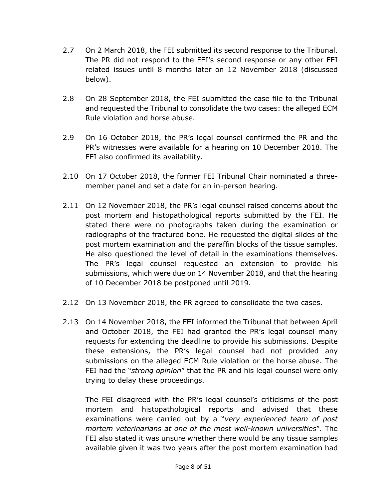- 2.7 On 2 March 2018, the FEI submitted its second response to the Tribunal. The PR did not respond to the FEI's second response or any other FEI related issues until 8 months later on 12 November 2018 (discussed below).
- 2.8 On 28 September 2018, the FEI submitted the case file to the Tribunal and requested the Tribunal to consolidate the two cases: the alleged ECM Rule violation and horse abuse.
- 2.9 On 16 October 2018, the PR's legal counsel confirmed the PR and the PR's witnesses were available for a hearing on 10 December 2018. The FEI also confirmed its availability.
- 2.10 On 17 October 2018, the former FEI Tribunal Chair nominated a threemember panel and set a date for an in-person hearing.
- 2.11 On 12 November 2018, the PR's legal counsel raised concerns about the post mortem and histopathological reports submitted by the FEI. He stated there were no photographs taken during the examination or radiographs of the fractured bone. He requested the digital slides of the post mortem examination and the paraffin blocks of the tissue samples. He also questioned the level of detail in the examinations themselves. The PR's legal counsel requested an extension to provide his submissions, which were due on 14 November 2018, and that the hearing of 10 December 2018 be postponed until 2019.
- 2.12 On 13 November 2018, the PR agreed to consolidate the two cases.
- 2.13 On 14 November 2018, the FEI informed the Tribunal that between April and October 2018, the FEI had granted the PR's legal counsel many requests for extending the deadline to provide his submissions. Despite these extensions, the PR's legal counsel had not provided any submissions on the alleged ECM Rule violation or the horse abuse. The FEI had the "*strong opinion*" that the PR and his legal counsel were only trying to delay these proceedings.

The FEI disagreed with the PR's legal counsel's criticisms of the post mortem and histopathological reports and advised that these examinations were carried out by a "*very experienced team of post mortem veterinarians at one of the most well-known universities*". The FEI also stated it was unsure whether there would be any tissue samples available given it was two years after the post mortem examination had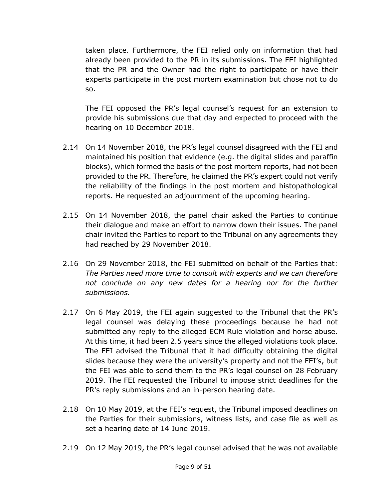taken place. Furthermore, the FEI relied only on information that had already been provided to the PR in its submissions. The FEI highlighted that the PR and the Owner had the right to participate or have their experts participate in the post mortem examination but chose not to do so.

The FEI opposed the PR's legal counsel's request for an extension to provide his submissions due that day and expected to proceed with the hearing on 10 December 2018.

- 2.14 On 14 November 2018, the PR's legal counsel disagreed with the FEI and maintained his position that evidence (e.g. the digital slides and paraffin blocks), which formed the basis of the post mortem reports, had not been provided to the PR. Therefore, he claimed the PR's expert could not verify the reliability of the findings in the post mortem and histopathological reports. He requested an adjournment of the upcoming hearing.
- 2.15 On 14 November 2018, the panel chair asked the Parties to continue their dialogue and make an effort to narrow down their issues. The panel chair invited the Parties to report to the Tribunal on any agreements they had reached by 29 November 2018.
- 2.16 On 29 November 2018, the FEI submitted on behalf of the Parties that: *The Parties need more time to consult with experts and we can therefore not conclude on any new dates for a hearing nor for the further submissions.*
- 2.17 On 6 May 2019, the FEI again suggested to the Tribunal that the PR's legal counsel was delaying these proceedings because he had not submitted any reply to the alleged ECM Rule violation and horse abuse. At this time, it had been 2.5 years since the alleged violations took place. The FEI advised the Tribunal that it had difficulty obtaining the digital slides because they were the university's property and not the FEI's, but the FEI was able to send them to the PR's legal counsel on 28 February 2019. The FEI requested the Tribunal to impose strict deadlines for the PR's reply submissions and an in-person hearing date.
- 2.18 On 10 May 2019, at the FEI's request, the Tribunal imposed deadlines on the Parties for their submissions, witness lists, and case file as well as set a hearing date of 14 June 2019.
- 2.19 On 12 May 2019, the PR's legal counsel advised that he was not available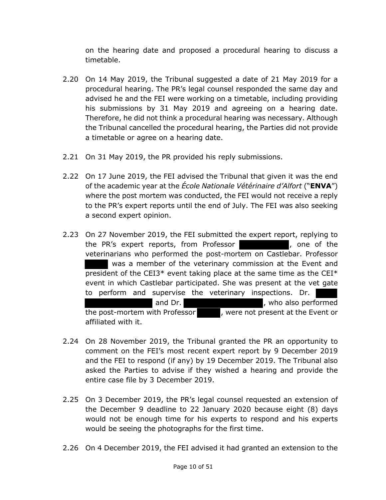on the hearing date and proposed a procedural hearing to discuss a timetable.

- 2.20 On 14 May 2019, the Tribunal suggested a date of 21 May 2019 for a procedural hearing. The PR's legal counsel responded the same day and advised he and the FEI were working on a timetable, including providing his submissions by 31 May 2019 and agreeing on a hearing date. Therefore, he did not think a procedural hearing was necessary. Although the Tribunal cancelled the procedural hearing, the Parties did not provide a timetable or agree on a hearing date.
- 2.21 On 31 May 2019, the PR provided his reply submissions.
- 2.22 On 17 June 2019, the FEI advised the Tribunal that given it was the end of the academic year at the *École Nationale Vétérinaire d'Alfort* ("**ENVA**") where the post mortem was conducted, the FEI would not receive a reply to the PR's expert reports until the end of July. The FEI was also seeking a second expert opinion.
- 2.23 On 27 November 2019, the FEI submitted the expert report, replying to the PR's expert reports, from Professor **and the report of the state of the state PR** and the veterinarians who performed the post-mortem on Castlebar. Professor was a member of the veterinary commission at the Event and president of the CEI3\* event taking place at the same time as the CEI\* event in which Castlebar participated. She was present at the vet gate to perform and supervise the veterinary inspections. Dr. and Dr. **South Accord Entity Contract Properties** and Dr. the post-mortem with Professor , were not present at the Event or affiliated with it.
- 2.24 On 28 November 2019, the Tribunal granted the PR an opportunity to comment on the FEI's most recent expert report by 9 December 2019 and the FEI to respond (if any) by 19 December 2019. The Tribunal also asked the Parties to advise if they wished a hearing and provide the entire case file by 3 December 2019.
- 2.25 On 3 December 2019, the PR's legal counsel requested an extension of the December 9 deadline to 22 January 2020 because eight (8) days would not be enough time for his experts to respond and his experts would be seeing the photographs for the first time.
- 2.26 On 4 December 2019, the FEI advised it had granted an extension to the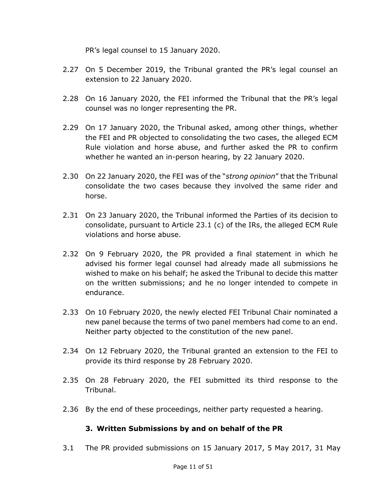PR's legal counsel to 15 January 2020.

- 2.27 On 5 December 2019, the Tribunal granted the PR's legal counsel an extension to 22 January 2020.
- 2.28 On 16 January 2020, the FEI informed the Tribunal that the PR's legal counsel was no longer representing the PR.
- 2.29 On 17 January 2020, the Tribunal asked, among other things, whether the FEI and PR objected to consolidating the two cases, the alleged ECM Rule violation and horse abuse, and further asked the PR to confirm whether he wanted an in-person hearing, by 22 January 2020.
- 2.30 On 22 January 2020, the FEI was of the "*strong opinion*" that the Tribunal consolidate the two cases because they involved the same rider and horse.
- 2.31 On 23 January 2020, the Tribunal informed the Parties of its decision to consolidate, pursuant to Article 23.1 (c) of the IRs, the alleged ECM Rule violations and horse abuse.
- 2.32 On 9 February 2020, the PR provided a final statement in which he advised his former legal counsel had already made all submissions he wished to make on his behalf; he asked the Tribunal to decide this matter on the written submissions; and he no longer intended to compete in endurance.
- 2.33 On 10 February 2020, the newly elected FEI Tribunal Chair nominated a new panel because the terms of two panel members had come to an end. Neither party objected to the constitution of the new panel.
- 2.34 On 12 February 2020, the Tribunal granted an extension to the FEI to provide its third response by 28 February 2020.
- 2.35 On 28 February 2020, the FEI submitted its third response to the Tribunal.
- 2.36 By the end of these proceedings, neither party requested a hearing.

## **3. Written Submissions by and on behalf of the PR**

3.1 The PR provided submissions on 15 January 2017, 5 May 2017, 31 May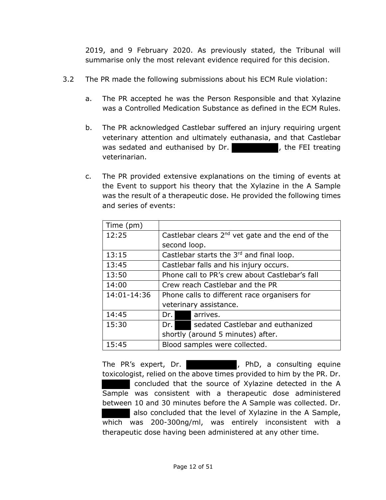2019, and 9 February 2020. As previously stated, the Tribunal will summarise only the most relevant evidence required for this decision.

- 3.2 The PR made the following submissions about his ECM Rule violation:
	- a. The PR accepted he was the Person Responsible and that Xylazine was a Controlled Medication Substance as defined in the ECM Rules.
	- b. The PR acknowledged Castlebar suffered an injury requiring urgent veterinary attention and ultimately euthanasia, and that Castlebar was sedated and euthanised by  $Dr.$  , the FEI treating veterinarian.
	- c. The PR provided extensive explanations on the timing of events at the Event to support his theory that the Xylazine in the A Sample was the result of a therapeutic dose. He provided the following times and series of events:

| Time (pm)   |                                                       |                                 |                                   |  |
|-------------|-------------------------------------------------------|---------------------------------|-----------------------------------|--|
| 12:25       | Castlebar clears $2^{nd}$ vet gate and the end of the |                                 |                                   |  |
|             |                                                       | second loop.                    |                                   |  |
| 13:15       | Castlebar starts the 3rd and final loop.              |                                 |                                   |  |
| 13:45       | Castlebar falls and his injury occurs.                |                                 |                                   |  |
| 13:50       | Phone call to PR's crew about Castlebar's fall        |                                 |                                   |  |
| 14:00       |                                                       | Crew reach Castlebar and the PR |                                   |  |
| 14:01-14:36 | Phone calls to different race organisers for          |                                 |                                   |  |
|             |                                                       |                                 | veterinary assistance.            |  |
| 14:45       | Dr. I                                                 |                                 | arrives.                          |  |
| 15:30       | Dr. I                                                 |                                 | sedated Castlebar and euthanized  |  |
|             |                                                       |                                 | shortly (around 5 minutes) after. |  |
| 15:45       | Blood samples were collected.                         |                                 |                                   |  |

The PR's expert, Dr. **Example 20 Finds**, PhD, a consulting equine toxicologist, relied on the above times provided to him by the PR. Dr. concluded that the source of Xylazine detected in the A Sample was consistent with a therapeutic dose administered between 10 and 30 minutes before the A Sample was collected. Dr. also concluded that the level of Xylazine in the A Sample, which was 200-300ng/ml, was entirely inconsistent with a therapeutic dose having been administered at any other time.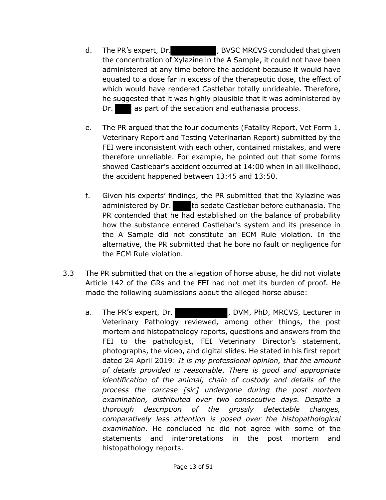- d. The PR's expert, Dr. **Elected State B**, BVSC MRCVS concluded that given the concentration of Xylazine in the A Sample, it could not have been administered at any time before the accident because it would have equated to a dose far in excess of the therapeutic dose, the effect of which would have rendered Castlebar totally unrideable. Therefore, he suggested that it was highly plausible that it was administered by Dr. as part of the sedation and euthanasia process.
- e. The PR argued that the four documents (Fatality Report, Vet Form 1, Veterinary Report and Testing Veterinarian Report) submitted by the FEI were inconsistent with each other, contained mistakes, and were therefore unreliable. For example, he pointed out that some forms showed Castlebar's accident occurred at 14:00 when in all likelihood, the accident happened between 13:45 and 13:50.
- f. Given his experts' findings, the PR submitted that the Xylazine was administered by Dr. to sedate Castlebar before euthanasia. The PR contended that he had established on the balance of probability how the substance entered Castlebar's system and its presence in the A Sample did not constitute an ECM Rule violation. In the alternative, the PR submitted that he bore no fault or negligence for the ECM Rule violation.
- 3.3 The PR submitted that on the allegation of horse abuse, he did not violate Article 142 of the GRs and the FEI had not met its burden of proof. He made the following submissions about the alleged horse abuse:
	- a. The PR's expert, Dr. The PR's expert, Dr. (2014), DVM, PhD, MRCVS, Lecturer in Veterinary Pathology reviewed, among other things, the post mortem and histopathology reports, questions and answers from the FEI to the pathologist, FEI Veterinary Director's statement, photographs, the video, and digital slides. He stated in his first report dated 24 April 2019: *It is my professional opinion, that the amount of details provided is reasonable*. *There is good and appropriate identification of the animal, chain of custody and details of the process the carcase [sic] undergone during the post mortem examination, distributed over two consecutive days. Despite a thorough description of the grossly detectable changes, comparatively less attention is posed over the histopathological examination*. He concluded he did not agree with some of the statements and interpretations in the post mortem and histopathology reports.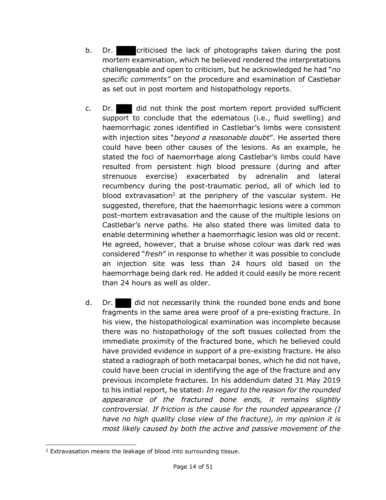- b. Dr. criticised the lack of photographs taken during the post mortem examination, which he believed rendered the interpretations challengeable and open to criticism, but he acknowledged he had "*no specific comments"* on the procedure and examination of Castlebar as set out in post mortem and histopathology reports.
- c. Dr. did not think the post mortem report provided sufficient support to conclude that the edematous (i.e., fluid swelling) and haemorrhagic zones identified in Castlebar's limbs were consistent with injection sites "*beyond a reasonable doubt*". He asserted there could have been other causes of the lesions. As an example, he stated the foci of haemorrhage along Castlebar's limbs could have resulted from persistent high blood pressure (during and after strenuous exercise) exacerbated by adrenalin and lateral recumbency during the post-traumatic period, all of which led to blood extravasation<sup>2</sup> at the periphery of the vascular system. He suggested, therefore, that the haemorrhagic lesions were a common post-mortem extravasation and the cause of the multiple lesions on Castlebar's nerve paths. He also stated there was limited data to enable determining whether a haemorrhagic lesion was old or recent. He agreed, however, that a bruise whose colour was dark red was considered "*fresh*" in response to whether it was possible to conclude an injection site was less than 24 hours old based on the haemorrhage being dark red. He added it could easily be more recent than 24 hours as well as older.
- d. Dr. did not necessarily think the rounded bone ends and bone fragments in the same area were proof of a pre-existing fracture. In his view, the histopathological examination was incomplete because there was no histopathology of the soft tissues collected from the immediate proximity of the fractured bone, which he believed could have provided evidence in support of a pre-existing fracture. He also stated a radiograph of both metacarpal bones, which he did not have, could have been crucial in identifying the age of the fracture and any previous incomplete fractures. In his addendum dated 31 May 2019 to his initial report, he stated: *In regard to the reason for the rounded appearance of the fractured bone ends, it remains slightly controversial. If friction is the cause for the rounded appearance (I have no high quality close view of the fracture), in my opinion it is most likely caused by both the active and passive movement of the*

<sup>2</sup> Extravasation means the leakage of blood into surrounding tissue.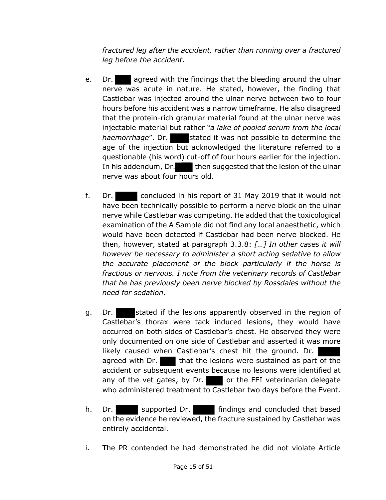*fractured leg after the accident, rather than running over a fractured leg before the accident*.

- e. Dr. agreed with the findings that the bleeding around the ulnar nerve was acute in nature. He stated, however, the finding that Castlebar was injected around the ulnar nerve between two to four hours before his accident was a narrow timeframe. He also disagreed that the protein-rich granular material found at the ulnar nerve was injectable material but rather "*a lake of pooled serum from the local haemorrhage*". Dr. stated it was not possible to determine the age of the injection but acknowledged the literature referred to a questionable (his word) cut-off of four hours earlier for the injection. In his addendum, Dr. then suggested that the lesion of the ulnar nerve was about four hours old.
- f. Dr. concluded in his report of 31 May 2019 that it would not have been technically possible to perform a nerve block on the ulnar nerve while Castlebar was competing. He added that the toxicological examination of the A Sample did not find any local anaesthetic, which would have been detected if Castlebar had been nerve blocked. He then, however, stated at paragraph 3.3.8: *[…] In other cases it will however be necessary to administer a short acting sedative to allow the accurate placement of the block particularly if the horse is fractious or nervous. I note from the veterinary records of Castlebar that he has previously been nerve blocked by Rossdales without the need for sedation*.
- g. Dr. stated if the lesions apparently observed in the region of Castlebar's thorax were tack induced lesions, they would have occurred on both sides of Castlebar's chest. He observed they were only documented on one side of Castlebar and asserted it was more likely caused when Castlebar's chest hit the ground. Dr. agreed with Dr.  $\blacksquare$  that the lesions were sustained as part of the accident or subsequent events because no lesions were identified at any of the vet gates, by Dr. or the FEI veterinarian delegate who administered treatment to Castlebar two days before the Event.
- h. Dr. supported Dr. findings and concluded that based on the evidence he reviewed, the fracture sustained by Castlebar was entirely accidental.
- i. The PR contended he had demonstrated he did not violate Article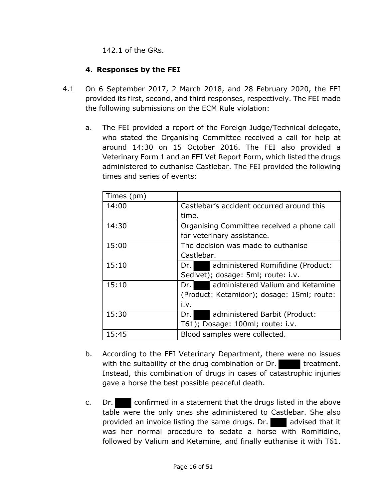142.1 of the GRs.

## **4. Responses by the FEI**

- 4.1 On 6 September 2017, 2 March 2018, and 28 February 2020, the FEI provided its first, second, and third responses, respectively. The FEI made the following submissions on the ECM Rule violation:
	- a. The FEI provided a report of the Foreign Judge/Technical delegate, who stated the Organising Committee received a call for help at around 14:30 on 15 October 2016. The FEI also provided a Veterinary Form 1 and an FEI Vet Report Form, which listed the drugs administered to euthanise Castlebar. The FEI provided the following times and series of events:

| Times (pm) |                                            |
|------------|--------------------------------------------|
| 14:00      | Castlebar's accident occurred around this  |
|            | time.                                      |
| 14:30      | Organising Committee received a phone call |
|            | for veterinary assistance.                 |
| 15:00      | The decision was made to euthanise         |
|            | Castlebar.                                 |
| 15:10      | administered Romifidine (Product:<br>Dr. I |
|            | Sedivet); dosage: 5ml; route: i.v.         |
| 15:10      | administered Valium and Ketamine<br>Dr. I  |
|            | (Product: Ketamidor); dosage: 15ml; route: |
|            | i.v.                                       |
| 15:30      | administered Barbit (Product:<br>Dr. I     |
|            | T61); Dosage: 100ml; route: i.v.           |
| 15:45      | Blood samples were collected.              |

- b. According to the FEI Veterinary Department, there were no issues with the suitability of the drug combination or Dr. treatment. Instead, this combination of drugs in cases of catastrophic injuries gave a horse the best possible peaceful death.
- c. Dr. confirmed in a statement that the drugs listed in the above table were the only ones she administered to Castlebar. She also provided an invoice listing the same drugs. Dr. advised that it was her normal procedure to sedate a horse with Romifidine, followed by Valium and Ketamine, and finally euthanise it with T61.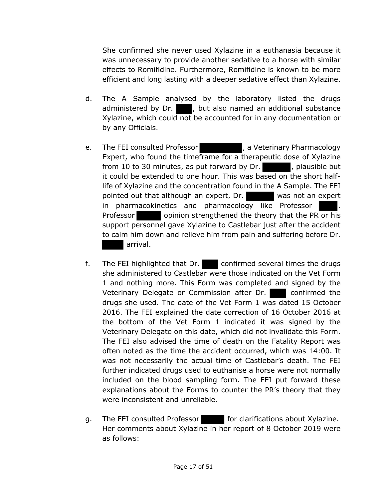She confirmed she never used Xylazine in a euthanasia because it was unnecessary to provide another sedative to a horse with similar effects to Romifidine. Furthermore, Romifidine is known to be more efficient and long lasting with a deeper sedative effect than Xylazine.

- d. The A Sample analysed by the laboratory listed the drugs administered by Dr.  $\blacksquare$ , but also named an additional substance Xylazine, which could not be accounted for in any documentation or by any Officials.
- e. The FEI consulted Professor **Face Lines and State Theorem** , a Veterinary Pharmacology Expert, who found the timeframe for a therapeutic dose of Xylazine from 10 to 30 minutes, as put forward by  $Dr.$ , plausible but it could be extended to one hour. This was based on the short halflife of Xylazine and the concentration found in the A Sample. The FEI pointed out that although an expert, Dr. was not an expert in pharmacokinetics and pharmacology like Professor . Professor opinion strengthened the theory that the PR or his support personnel gave Xylazine to Castlebar just after the accident to calm him down and relieve him from pain and suffering before Dr. arrival.
- f. The FEI highlighted that Dr. confirmed several times the drugs she administered to Castlebar were those indicated on the Vet Form 1 and nothing more. This Form was completed and signed by the Veterinary Delegate or Commission after Dr. confirmed the drugs she used. The date of the Vet Form 1 was dated 15 October 2016. The FEI explained the date correction of 16 October 2016 at the bottom of the Vet Form 1 indicated it was signed by the Veterinary Delegate on this date, which did not invalidate this Form. The FEI also advised the time of death on the Fatality Report was often noted as the time the accident occurred, which was 14:00. It was not necessarily the actual time of Castlebar's death. The FEI further indicated drugs used to euthanise a horse were not normally included on the blood sampling form. The FEI put forward these explanations about the Forms to counter the PR's theory that they were inconsistent and unreliable.
- g. The FEI consulted Professor for clarifications about Xylazine. Her comments about Xylazine in her report of 8 October 2019 were as follows: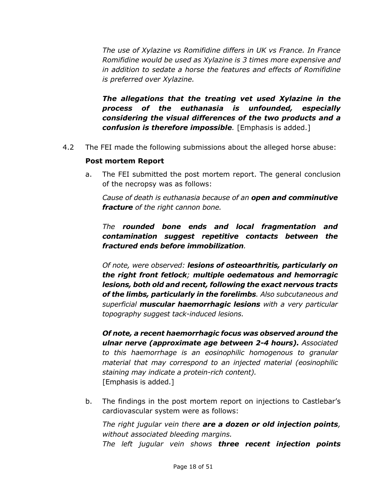*The use of Xylazine vs Romifidine differs in UK vs France. In France Romifidine would be used as Xylazine is 3 times more expensive and in addition to sedate a horse the features and effects of Romifidine is preferred over Xylazine.*

*The allegations that the treating vet used Xylazine in the process of the euthanasia is unfounded, especially considering the visual differences of the two products and a confusion is therefore impossible.* [Emphasis is added.]

4.2 The FEI made the following submissions about the alleged horse abuse:

#### **Post mortem Report**

a. The FEI submitted the post mortem report. The general conclusion of the necropsy was as follows:

*Cause of death is euthanasia because of an open and comminutive fracture of the right cannon bone.*

*The rounded bone ends and local fragmentation and contamination suggest repetitive contacts between the fractured ends before immobilization.*

*Of note, were observed: lesions of osteoarthritis, particularly on the right front fetlock; multiple oedematous and hemorragic lesions, both old and recent, following the exact nervous tracts of the limbs, particularly in the forelimbs. Also subcutaneous and superficial muscular haemorrhagic lesions with a very particular topography suggest tack-induced lesions.*

*Of note, a recent haemorrhagic focus was observed around the ulnar nerve (approximate age between 2-4 hours). Associated to this haemorrhage is an eosinophilic homogenous to granular material that may correspond to an injected material (eosinophilic staining may indicate a protein-rich content).* [Emphasis is added.]

b. The findings in the post mortem report on injections to Castlebar's cardiovascular system were as follows:

*The right jugular vein there are a dozen or old injection points, without associated bleeding margins. The left jugular vein shows three recent injection points*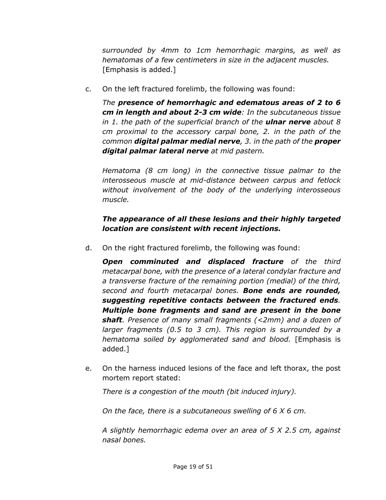*surrounded by 4mm to 1cm hemorrhagic margins, as well as hematomas of a few centimeters in size in the adjacent muscles.* [Emphasis is added.]

c. On the left fractured forelimb, the following was found:

*The presence of hemorrhagic and edematous areas of 2 to 6 cm in length and about 2-3 cm wide: In the subcutaneous tissue in 1. the path of the superficial branch of the ulnar nerve about 8 cm proximal to the accessory carpal bone, 2. in the path of the common digital palmar medial nerve, 3. in the path of the proper digital palmar lateral nerve at mid pastern.* 

*Hematoma (8 cm long) in the connective tissue palmar to the interosseous muscle at mid-distance between carpus and fetlock without involvement of the body of the underlying interosseous muscle.* 

# *The appearance of all these lesions and their highly targeted location are consistent with recent injections.*

d. On the right fractured forelimb, the following was found:

*Open comminuted and displaced fracture of the third metacarpal bone, with the presence of a lateral condylar fracture and a transverse fracture of the remaining portion (medial) of the third, second and fourth metacarpal bones. Bone ends are rounded, suggesting repetitive contacts between the fractured ends. Multiple bone fragments and sand are present in the bone shaft. Presence of many small fragments (<2mm) and a dozen of larger fragments (0.5 to 3 cm). This region is surrounded by a hematoma soiled by agglomerated sand and blood.* [Emphasis is added.]

e. On the harness induced lesions of the face and left thorax, the post mortem report stated:

*There is a congestion of the mouth (bit induced injury).*

*On the face, there is a subcutaneous swelling of 6 X 6 cm.*

*A slightly hemorrhagic edema over an area of 5 X 2.5 cm, against nasal bones.*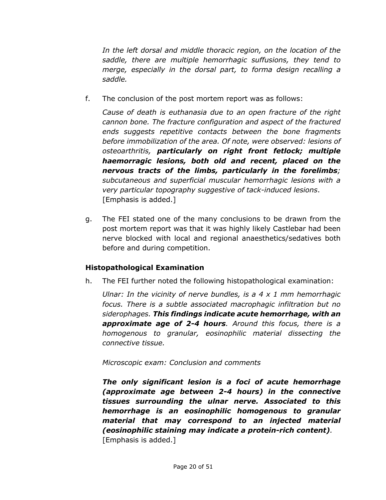*In the left dorsal and middle thoracic region, on the location of the saddle, there are multiple hemorrhagic suffusions, they tend to merge, especially in the dorsal part, to forma design recalling a saddle.*

f. The conclusion of the post mortem report was as follows:

*Cause of death is euthanasia due to an open fracture of the right cannon bone. The fracture configuration and aspect of the fractured ends suggests repetitive contacts between the bone fragments before immobilization of the area. Of note, were observed: lesions of osteoarthritis, particularly on right front fetlock; multiple haemorragic lesions, both old and recent, placed on the nervous tracts of the limbs, particularly in the forelimbs; subcutaneous and superficial muscular hemorrhagic lesions with a very particular topography suggestive of tack-induced lesions*. [Emphasis is added.]

g. The FEI stated one of the many conclusions to be drawn from the post mortem report was that it was highly likely Castlebar had been nerve blocked with local and regional anaesthetics/sedatives both before and during competition.

# **Histopathological Examination**

h. The FEI further noted the following histopathological examination:

*Ulnar: In the vicinity of nerve bundles, is a 4 x 1 mm hemorrhagic focus. There is a subtle associated macrophagic infiltration but no siderophages. This findings indicate acute hemorrhage, with an approximate age of 2-4 hours. Around this focus, there is a homogenous to granular, eosinophilic material dissecting the connective tissue.*

*Microscopic exam: Conclusion and comments* 

*The only significant lesion is a foci of acute hemorrhage (approximate age between 2-4 hours) in the connective tissues surrounding the ulnar nerve. Associated to this hemorrhage is an eosinophilic homogenous to granular material that may correspond to an injected material (eosinophilic staining may indicate a protein-rich content).* [Emphasis is added.]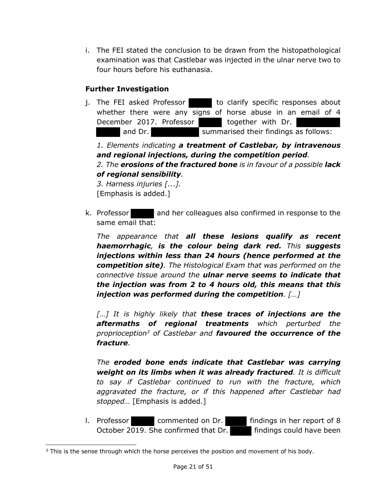i. The FEI stated the conclusion to be drawn from the histopathological examination was that Castlebar was injected in the ulnar nerve two to four hours before his euthanasia.

## **Further Investigation**

j. The FEI asked Professor to clarify specific responses about whether there were any signs of horse abuse in an email of 4 December 2017. Professor but together with Dr. and Dr. Summarised their findings as follows: *1. Elements indicating a treatment of Castlebar, by intravenous and regional injections, during the competition period. 2. The erosions of the fractured bone is in favour of a possible lack of regional sensibility.* 

*3. Harness injuries [..*.*].* [Emphasis is added.]

k. Professor and her colleagues also confirmed in response to the same email that:

*The appearance that all these lesions qualify as recent haemorrhagic, is the colour being dark red. This suggests injections within less than 24 hours (hence performed at the competition site). The Histological Exam that was performed on the connective tissue around the ulnar nerve seems to indicate that the injection was from 2 to 4 hours old, this means that this injection was performed during the competition. […]*

*[…] It is highly likely that these traces of injections are the aftermaths of regional treatments which perturbed the proprioception3 of Castlebar and favoured the occurrence of the fracture.* 

*The eroded bone ends indicate that Castlebar was carrying weight on its limbs when it was already fractured. It is difficult to say if Castlebar continued to run with the fracture, which aggravated the fracture, or if this happened after Castlebar had stopped…* [Emphasis is added.]

l. Professor commented on Dr. findings in her report of 8 October 2019. She confirmed that Dr. **Findings could have been** 

 $3$  This is the sense through which the horse perceives the position and movement of his body.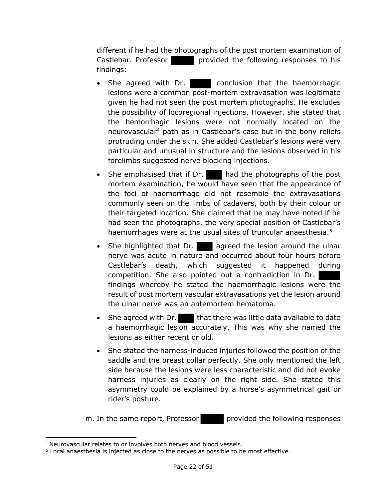different if he had the photographs of the post mortem examination of Castlebar. Professor provided the following responses to his findings:

- She agreed with Dr. conclusion that the haemorrhagic lesions were a common post-mortem extravasation was legitimate given he had not seen the post mortem photographs. He excludes the possibility of locoregional injections. However, she stated that the hemorrhagic lesions were not normally located on the neurovascular4 path as in Castlebar's case but in the bony reliefs protruding under the skin. She added Castlebar's lesions were very particular and unusual in structure and the lesions observed in his forelimbs suggested nerve blocking injections.
- She emphasised that if Dr.  $\blacksquare$  had the photographs of the post mortem examination, he would have seen that the appearance of the foci of haemorrhage did not resemble the extravasations commonly seen on the limbs of cadavers, both by their colour or their targeted location. She claimed that he may have noted if he had seen the photographs, the very special position of Castlebar's haemorrhages were at the usual sites of truncular anaesthesia.<sup>5</sup>
- She highlighted that Dr. agreed the lesion around the ulnar nerve was acute in nature and occurred about four hours before Castlebar's death, which suggested it happened during competition. She also pointed out a contradiction in Dr. findings whereby he stated the haemorrhagic lesions were the result of post mortem vascular extravasations yet the lesion around the ulnar nerve was an antemortem hematoma.
- She agreed with Dr. that there was little data available to date a haemorrhagic lesion accurately. This was why she named the lesions as either recent or old.
- She stated the harness-induced injuries followed the position of the saddle and the breast collar perfectly. She only mentioned the left side because the lesions were less characteristic and did not evoke harness injuries as clearly on the right side. She stated this asymmetry could be explained by a horse's asymmetrical gait or rider's posture.

m. In the same report, Professor provided the following responses

<sup>4</sup> Neurovascular relates to or involves both nerves and blood vessels.

<sup>5</sup> Local anaesthesia is injected as close to the nerves as possible to be most effective.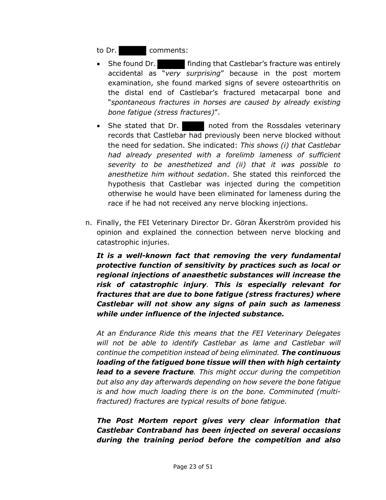to Dr. comments:

- She found Dr. **Finding that Castlebar's fracture was entirely** accidental as "*very surprising*" because in the post mortem examination, she found marked signs of severe osteoarthritis on the distal end of Castlebar's fractured metacarpal bone and "*spontaneous fractures in horses are caused by already existing bone fatigue (stress fractures)*".
- She stated that Dr. noted from the Rossdales veterinary records that Castlebar had previously been nerve blocked without the need for sedation. She indicated: *This shows (i) that Castlebar had already presented with a forelimb lameness of sufficient severity to be anesthetized and (ii) that it was possible to anesthetize him without sedation*. She stated this reinforced the hypothesis that Castlebar was injected during the competition otherwise he would have been eliminated for lameness during the race if he had not received any nerve blocking injections.
- n. Finally, the FEI Veterinary Director Dr. Göran Åkerström provided his opinion and explained the connection between nerve blocking and catastrophic injuries.

*It is a well-known fact that removing the very fundamental protective function of sensitivity by practices such as local or regional injections of anaesthetic substances will increase the risk of catastrophic injury. This is especially relevant for fractures that are due to bone fatigue (stress fractures) where Castlebar will not show any signs of pain such as lameness while under influence of the injected substance.*

*At an Endurance Ride this means that the FEI Veterinary Delegates will not be able to identify Castlebar as lame and Castlebar will continue the competition instead of being eliminated. The continuous loading of the fatigued bone tissue will then with high certainty lead to a severe fracture. This might occur during the competition but also any day afterwards depending on how severe the bone fatigue is and how much loading there is on the bone. Comminuted (multifractured) fractures are typical results of bone fatigue.*

*The Post Mortem report gives very clear information that Castlebar Contraband has been injected on several occasions during the training period before the competition and also*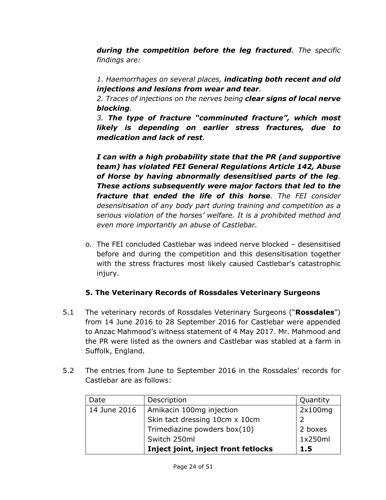*during the competition before the leg fractured. The specific findings are:* 

*1. Haemorrhages on several places, indicating both recent and old injections and lesions from wear and tear.* 

*2. Traces of injections on the nerves being clear signs of local nerve blocking.* 

*3. The type of fracture "comminuted fracture", which most likely is depending on earlier stress fractures, due to medication and lack of rest.* 

*I can with a high probability state that the PR (and supportive team) has violated FEI General Regulations Article 142, Abuse of Horse by having abnormally desensitised parts of the leg. These actions subsequently were major factors that led to the fracture that ended the life of this horse. The FEI consider desensitisation of any body part during training and competition as a serious violation of the horses' welfare. It is a prohibited method and even more importantly an abuse of Castlebar.*

o. The FEI concluded Castlebar was indeed nerve blocked – desensitised before and during the competition and this desensitisation together with the stress fractures most likely caused Castlebar's catastrophic injury.

## **5. The Veterinary Records of Rossdales Veterinary Surgeons**

- 5.1 The veterinary records of Rossdales Veterinary Surgeons ("**Rossdales**") from 14 June 2016 to 28 September 2016 for Castlebar were appended to Anzac Mahmood's witness statement of 4 May 2017. Mr. Mahmood and the PR were listed as the owners and Castlebar was stabled at a farm in Suffolk, England.
- 5.2 The entries from June to September 2016 in the Rossdales' records for Castlebar are as follows:

| Date         | Description                         | Quantity |
|--------------|-------------------------------------|----------|
| 14 June 2016 | Amikacin 100mg injection            | 2x100mg  |
|              | Skin tact dressing 10cm x 10cm      |          |
|              | Trimediazine powders box(10)        | 2 boxes  |
|              | Switch 250ml                        | 1x250ml  |
|              | Inject joint, inject front fetlocks | 1.5      |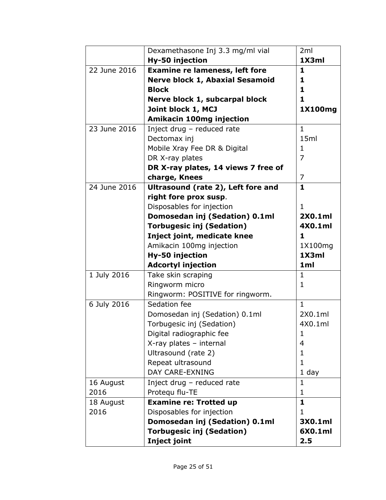|              | Dexamethasone Inj 3.3 mg/ml vial       | 2ml            |
|--------------|----------------------------------------|----------------|
|              | Hy-50 injection                        | 1X3ml          |
| 22 June 2016 | <b>Examine re lameness, left fore</b>  | 1              |
|              | <b>Nerve block 1, Abaxial Sesamoid</b> | 1              |
|              | <b>Block</b>                           | 1              |
|              | Nerve block 1, subcarpal block         | 1.             |
|              | Joint block 1, MCJ                     | 1X100mg        |
|              | <b>Amikacin 100mg injection</b>        |                |
| 23 June 2016 | Inject drug - reduced rate             | $\mathbf{1}$   |
|              | Dectomax inj                           | 15ml           |
|              | Mobile Xray Fee DR & Digital           | 1              |
|              | DR X-ray plates                        | $\overline{7}$ |
|              | DR X-ray plates, 14 views 7 free of    |                |
|              | charge, Knees                          | $\overline{7}$ |
| 24 June 2016 | Ultrasound (rate 2), Left fore and     | $\mathbf{1}$   |
|              | right fore prox susp.                  |                |
|              | Disposables for injection              | 1              |
|              | Domosedan inj (Sedation) 0.1ml         | 2X0.1ml        |
|              | <b>Torbugesic inj (Sedation)</b>       | 4X0.1ml        |
|              | Inject joint, medicate knee            | 1.             |
|              | Amikacin 100mg injection               | 1X100mg        |
|              | Hy-50 injection                        | 1X3ml          |
|              | <b>Adcortyl injection</b>              | 1ml            |
| 1 July 2016  | Take skin scraping                     | 1              |
|              | Ringworm micro                         | 1              |
|              | Ringworm: POSITIVE for ringworm.       |                |
| 6 July 2016  | Sedation fee                           | 1.             |
|              | Domosedan inj (Sedation) 0.1ml         | 2X0.1ml        |
|              | Torbugesic inj (Sedation)              | 4X0.1ml        |
|              | Digital radiographic fee               | 1              |
|              | X-ray plates - internal                | 4              |
|              | Ultrasound (rate 2)                    | 1              |
|              | Repeat ultrasound                      | $\mathbf{1}$   |
|              | <b>DAY CARE-EXNING</b>                 | $1$ day        |
| 16 August    | Inject drug - reduced rate             | $\mathbf{1}$   |
| 2016         | Protequ flu-TE                         | $\mathbf{1}$   |
| 18 August    | <b>Examine re: Trotted up</b>          | 1              |
| 2016         | Disposables for injection              | 1              |
|              | Domosedan inj (Sedation) 0.1ml         | 3X0.1ml        |
|              | <b>Torbugesic inj (Sedation)</b>       | 6X0.1ml        |
|              | <b>Inject joint</b>                    | 2.5            |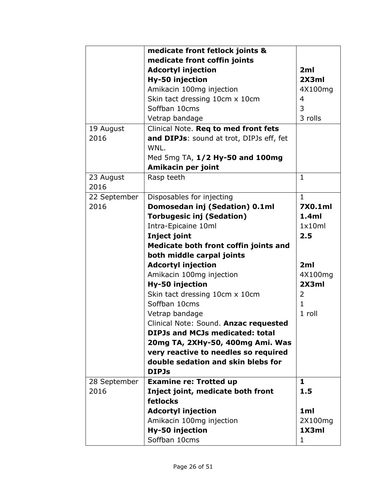|              | medicate front fetlock joints &          |              |
|--------------|------------------------------------------|--------------|
|              | medicate front coffin joints             |              |
|              | <b>Adcortyl injection</b>                | 2ml          |
|              | Hy-50 injection                          | 2X3ml        |
|              | Amikacin 100mg injection                 | 4X100mg      |
|              | Skin tact dressing 10cm x 10cm           | 4            |
|              | Soffban 10cms                            | 3            |
|              | Vetrap bandage                           | 3 rolls      |
| 19 August    | Clinical Note. Reg to med front fets     |              |
| 2016         | and DIPJs: sound at trot, DIPJs eff, fet |              |
|              | WNL.                                     |              |
|              | Med 5mg TA, 1/2 Hy-50 and 100mg          |              |
|              | Amikacin per joint                       |              |
| 23 August    | Rasp teeth                               | $\mathbf{1}$ |
| 2016         |                                          |              |
| 22 September | Disposables for injecting                | 1            |
| 2016         | Domosedan inj (Sedation) 0.1ml           | 7X0.1ml      |
|              | <b>Torbugesic inj (Sedation)</b>         | 1.4ml        |
|              | Intra-Epicaine 10ml                      | 1x10ml       |
|              | Inject joint                             | 2.5          |
|              | Medicate both front coffin joints and    |              |
|              | both middle carpal joints                |              |
|              | <b>Adcortyl injection</b>                | 2ml          |
|              | Amikacin 100mg injection                 | 4X100mg      |
|              | Hy-50 injection                          | 2X3ml        |
|              | Skin tact dressing 10cm x 10cm           | 2            |
|              | Soffban 10cms                            | 1.           |
|              | Vetrap bandage                           | 1 roll       |
|              | Clinical Note: Sound. Anzac requested    |              |
|              | <b>DIPJs and MCJs medicated: total</b>   |              |
|              | 20mg TA, 2XHy-50, 400mg Ami. Was         |              |
|              | very reactive to needles so required     |              |
|              | double sedation and skin blebs for       |              |
|              | <b>DIPJs</b>                             |              |
| 28 September | <b>Examine re: Trotted up</b>            | 1            |
| 2016         | Inject joint, medicate both front        | 1.5          |
|              | fetlocks                                 |              |
|              | <b>Adcortyl injection</b>                | 1ml          |
|              | Amikacin 100mg injection                 | 2X100mg      |
|              | Hy-50 injection                          | 1X3ml        |
|              | Soffban 10cms                            | 1            |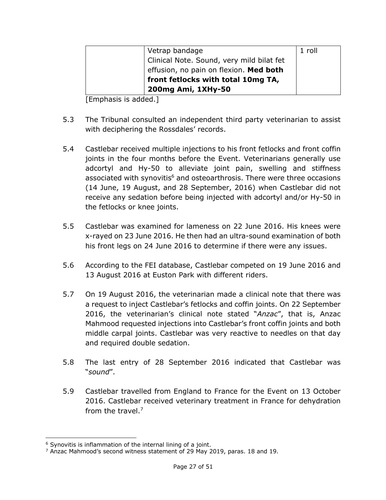| Vetrap bandage                            | 1 roll |
|-------------------------------------------|--------|
|                                           |        |
| Clinical Note. Sound, very mild bilat fet |        |
| effusion, no pain on flexion. Med both    |        |
|                                           |        |
| front fetlocks with total 10mg TA,        |        |
| 200mg Ami, 1XHy-50                        |        |
|                                           |        |

[Emphasis is added.]

- 5.3 The Tribunal consulted an independent third party veterinarian to assist with deciphering the Rossdales' records.
- 5.4 Castlebar received multiple injections to his front fetlocks and front coffin joints in the four months before the Event. Veterinarians generally use adcortyl and Hy-50 to alleviate joint pain, swelling and stiffness associated with synovitis $6$  and osteoarthrosis. There were three occasions (14 June, 19 August, and 28 September, 2016) when Castlebar did not receive any sedation before being injected with adcortyl and/or Hy-50 in the fetlocks or knee joints.
- 5.5 Castlebar was examined for lameness on 22 June 2016. His knees were x-rayed on 23 June 2016. He then had an ultra-sound examination of both his front legs on 24 June 2016 to determine if there were any issues.
- 5.6 According to the FEI database, Castlebar competed on 19 June 2016 and 13 August 2016 at Euston Park with different riders.
- 5.7 On 19 August 2016, the veterinarian made a clinical note that there was a request to inject Castlebar's fetlocks and coffin joints. On 22 September 2016, the veterinarian's clinical note stated "*Anzac*", that is, Anzac Mahmood requested injections into Castlebar's front coffin joints and both middle carpal joints. Castlebar was very reactive to needles on that day and required double sedation.
- 5.8 The last entry of 28 September 2016 indicated that Castlebar was "*sound*".
- 5.9 Castlebar travelled from England to France for the Event on 13 October 2016. Castlebar received veterinary treatment in France for dehydration from the travel.7

 $6$  Synovitis is inflammation of the internal lining of a joint.

<sup>7</sup> Anzac Mahmood's second witness statement of 29 May 2019, paras. 18 and 19.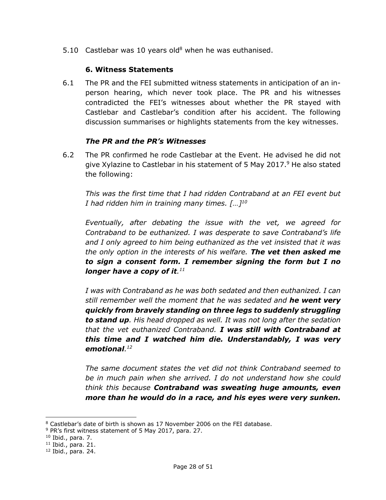5.10 Castlebar was 10 years old<sup>8</sup> when he was euthanised.

#### **6. Witness Statements**

6.1 The PR and the FEI submitted witness statements in anticipation of an inperson hearing, which never took place. The PR and his witnesses contradicted the FEI's witnesses about whether the PR stayed with Castlebar and Castlebar's condition after his accident. The following discussion summarises or highlights statements from the key witnesses.

#### *The PR and the PR's Witnesses*

6.2 The PR confirmed he rode Castlebar at the Event. He advised he did not give Xylazine to Castlebar in his statement of 5 May 2017.<sup>9</sup> He also stated the following:

*This was the first time that I had ridden Contraband at an FEI event but I had ridden him in training many times. […]10*

*Eventually, after debating the issue with the vet, we agreed for Contraband to be euthanized. I was desperate to save Contraband's life and I only agreed to him being euthanized as the vet insisted that it was the only option in the interests of his welfare. The vet then asked me to sign a consent form. I remember signing the form but I no longer have a copy of it. 11*

*I was with Contraband as he was both sedated and then euthanized. I can still remember well the moment that he was sedated and he went very quickly from bravely standing on three legs to suddenly struggling to stand up. His head dropped as well. It was not long after the sedation that the vet euthanized Contraband. I was still with Contraband at this time and I watched him die. Understandably, I was very emotional. 12*

*The same document states the vet did not think Contraband seemed to be in much pain when she arrived. I do not understand how she could think this because Contraband was sweating huge amounts, even more than he would do in a race, and his eyes were very sunken.* 

<sup>8</sup> Castlebar's date of birth is shown as 17 November 2006 on the FEI database.

<sup>&</sup>lt;sup>9</sup> PR's first witness statement of 5 May 2017, para. 27.

<sup>10</sup> Ibid., para. 7.

 $11$  Ibid., para. 21.

<sup>12</sup> Ibid., para. 24.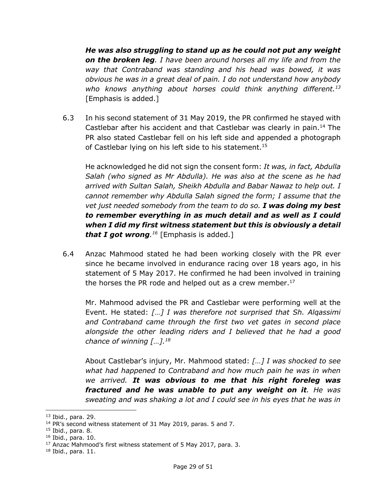*He was also struggling to stand up as he could not put any weight on the broken leg. I have been around horses all my life and from the way that Contraband was standing and his head was bowed, it was obvious he was in a great deal of pain. I do not understand how anybody who knows anything about horses could think anything different.13* [Emphasis is added.]

6.3 In his second statement of 31 May 2019, the PR confirmed he stayed with Castlebar after his accident and that Castlebar was clearly in pain.<sup>14</sup> The PR also stated Castlebar fell on his left side and appended a photograph of Castlebar lying on his left side to his statement.<sup>15</sup>

He acknowledged he did not sign the consent form: *It was, in fact, Abdulla Salah (who signed as Mr Abdulla). He was also at the scene as he had arrived with Sultan Salah, Sheikh Abdulla and Babar Nawaz to help out. I cannot remember why Abdulla Salah signed the form; I assume that the vet just needed somebody from the team to do so. I was doing my best to remember everything in as much detail and as well as I could when I did my first witness statement but this is obviously a detail that I got wrong. <sup>16</sup>* [Emphasis is added.]

6.4 Anzac Mahmood stated he had been working closely with the PR ever since he became involved in endurance racing over 18 years ago, in his statement of 5 May 2017. He confirmed he had been involved in training the horses the PR rode and helped out as a crew member. 17

Mr. Mahmood advised the PR and Castlebar were performing well at the Event. He stated: *[…] I was therefore not surprised that Sh. Alqassimi and Contraband came through the first two vet gates in second place alongside the other leading riders and I believed that he had a good chance of winning […].18*

About Castlebar's injury, Mr. Mahmood stated: *[…] I was shocked to see what had happened to Contraband and how much pain he was in when we arrived. It was obvious to me that his right foreleg was fractured and he was unable to put any weight on it. He was sweating and was shaking a lot and I could see in his eyes that he was in* 

<sup>13</sup> Ibid., para. 29.

<sup>&</sup>lt;sup>14</sup> PR's second witness statement of 31 May 2019, paras. 5 and 7.

<sup>15</sup> Ibid., para. 8.

<sup>16</sup> Ibid., para. 10.

<sup>&</sup>lt;sup>17</sup> Anzac Mahmood's first witness statement of 5 May 2017, para. 3.

 $18$  Ibid., para. 11.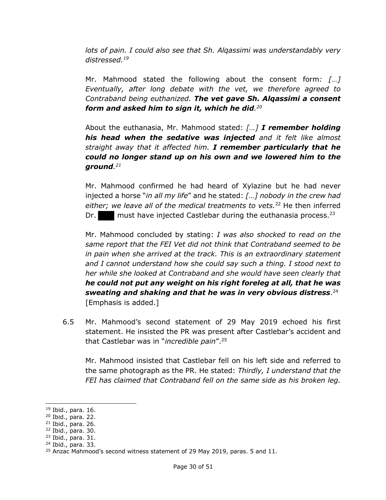*lots of pain. I could also see that Sh. Alqassimi was understandably very distressed.19*

Mr. Mahmood stated the following about the consent form*: […] Eventually, after long debate with the vet, we therefore agreed to Contraband being euthanized. The vet gave Sh. Alqassimi a consent form and asked him to sign it, which he did. 20*

About the euthanasia, Mr. Mahmood stated: *[…] I remember holding his head when the sedative was injected and it felt like almost straight away that it affected him. I remember particularly that he could no longer stand up on his own and we lowered him to the ground. 21*

Mr. Mahmood confirmed he had heard of Xylazine but he had never injected a horse "*in all my life*" and he stated: *[…] nobody in the crew had either; we leave all of the medical treatments to vets.*<sup>22</sup> He then inferred Dr. must have injected Castlebar during the euthanasia process.<sup>23</sup>

Mr. Mahmood concluded by stating: *I was also shocked to read on the same report that the FEI Vet did not think that Contraband seemed to be in pain when she arrived at the track. This is an extraordinary statement and I cannot understand how she could say such a thing. I stood next to her while she looked at Contraband and she would have seen clearly that he could not put any weight on his right foreleg at all, that he was sweating and shaking and that he was in very obvious distress*. 24 [Emphasis is added.]

6.5 Mr. Mahmood's second statement of 29 May 2019 echoed his first statement. He insisted the PR was present after Castlebar's accident and that Castlebar was in "*incredible pain*".25

Mr. Mahmood insisted that Castlebar fell on his left side and referred to the same photograph as the PR. He stated: *Thirdly, I understand that the FEI has claimed that Contraband fell on the same side as his broken leg.* 

<sup>19</sup> Ibid., para. 16.

<sup>20</sup> Ibid., para. 22.

<sup>21</sup> Ibid., para. 26.

<sup>22</sup> Ibid., para. 30.

<sup>23</sup> Ibid., para. 31.

<sup>24</sup> Ibid., para. 33.

<sup>&</sup>lt;sup>25</sup> Anzac Mahmood's second witness statement of 29 May 2019, paras. 5 and 11.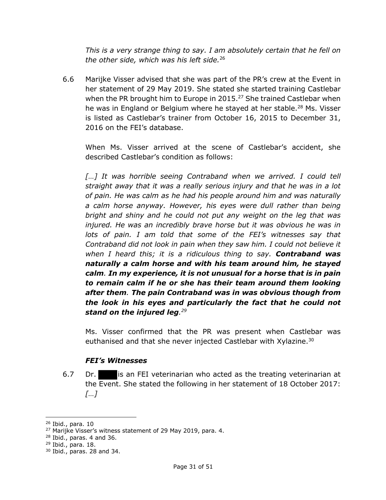*This is a very strange thing to say. I am absolutely certain that he fell on the other side, which was his left side.*<sup>26</sup>

6.6 Marijke Visser advised that she was part of the PR's crew at the Event in her statement of 29 May 2019. She stated she started training Castlebar when the PR brought him to Europe in 2015.<sup>27</sup> She trained Castlebar when he was in England or Belgium where he stayed at her stable. <sup>28</sup> Ms. Visser is listed as Castlebar's trainer from October 16, 2015 to December 31, 2016 on the FEI's database.

When Ms. Visser arrived at the scene of Castlebar's accident, she described Castlebar's condition as follows:

[...] It was horrible seeing Contraband when we arrived. I could tell *straight away that it was a really serious injury and that he was in a lot of pain. He was calm as he had his people around him and was naturally a calm horse anyway. However, his eyes were dull rather than being bright and shiny and he could not put any weight on the leg that was injured. He was an incredibly brave horse but it was obvious he was in lots of pain. I am told that some of the FEI's witnesses say that Contraband did not look in pain when they saw him. I could not believe it when I heard this; it is a ridiculous thing to say. Contraband was naturally a calm horse and with his team around him, he stayed calm. In my experience, it is not unusual for a horse that is in pain to remain calm if he or she has their team around them looking after them. The pain Contraband was in was obvious though from the look in his eyes and particularly the fact that he could not stand on the injured leg. 29*

Ms. Visser confirmed that the PR was present when Castlebar was euthanised and that she never injected Castlebar with Xylazine.<sup>30</sup>

## *FEI's Witnesses*

6.7 Dr. is an FEI veterinarian who acted as the treating veterinarian at the Event. She stated the following in her statement of 18 October 2017: *[…]*

<sup>26</sup> Ibid., para. 10

<sup>&</sup>lt;sup>27</sup> Marijke Visser's witness statement of 29 May 2019, para. 4.

 $28$  Ibid., paras. 4 and 36.

<sup>29</sup> Ibid., para. 18.

 $30$  Ibid., paras. 28 and 34.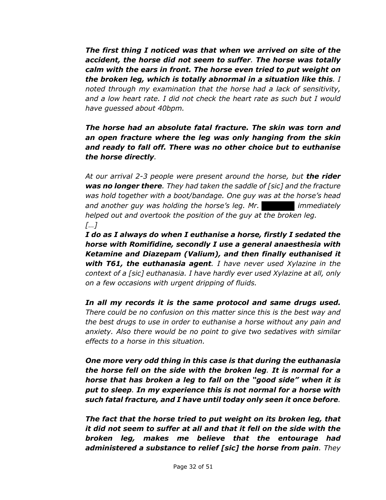*The first thing I noticed was that when we arrived on site of the accident, the horse did not seem to suffer. The horse was totally calm with the ears in front. The horse even tried to put weight on the broken leg, which is totally abnormal in a situation like this. I noted through my examination that the horse had a lack of sensitivity, and a low heart rate. I did not check the heart rate as such but I would have guessed about 40bpm.*

*The horse had an absolute fatal fracture. The skin was torn and an open fracture where the leg was only hanging from the skin and ready to fall off. There was no other choice but to euthanise the horse directly.*

*At our arrival 2-3 people were present around the horse, but the rider was no longer there. They had taken the saddle of [sic] and the fracture was hold together with a boot/bandage. One guy was at the horse's head and another guy was holding the horse's leg. Mr. immediately helped out and overtook the position of the guy at the broken leg. […]*

*I do as I always do when I euthanise a horse, firstly I sedated the horse with Romifidine, secondly I use a general anaesthesia with Ketamine and Diazepam (Valium), and then finally euthanised it with T61, the euthanasia agent. I have never used Xylazine in the context of a [sic] euthanasia. I have hardly ever used Xylazine at all, only on a few occasions with urgent dripping of fluids.*

*In all my records it is the same protocol and same drugs used. There could be no confusion on this matter since this is the best way and the best drugs to use in order to euthanise a horse without any pain and anxiety. Also there would be no point to give two sedatives with similar effects to a horse in this situation.*

*One more very odd thing in this case is that during the euthanasia the horse fell on the side with the broken leg. It is normal for a horse that has broken a leg to fall on the "good side" when it is put to sleep. In my experience this is not normal for a horse with such fatal fracture, and I have until today only seen it once before.* 

*The fact that the horse tried to put weight on its broken leg, that it did not seem to suffer at all and that it fell on the side with the broken leg, makes me believe that the entourage had administered a substance to relief [sic] the horse from pain. They*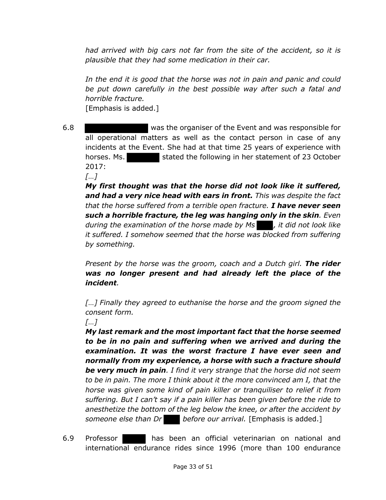*had arrived with big cars not far from the site of the accident, so it is plausible that they had some medication in their car.* 

*In the end it is good that the horse was not in pain and panic and could be put down carefully in the best possible way after such a fatal and horrible fracture.* [Emphasis is added.]

6.8 was the organiser of the Event and was responsible for all operational matters as well as the contact person in case of any incidents at the Event. She had at that time 25 years of experience with horses. Ms. stated the following in her statement of 23 October 2017:

*[…]*

*My first thought was that the horse did not look like it suffered, and had a very nice head with ears in front. This was despite the fact that the horse suffered from a terrible open fracture. I have never seen such a horrible fracture, the leg was hanging only in the skin. Even during the examination of the horse made by Ms , it did not look like it suffered. I somehow seemed that the horse was blocked from suffering by something.* 

*Present by the horse was the groom, coach and a Dutch girl. The rider was no longer present and had already left the place of the incident.* 

*[…] Finally they agreed to euthanise the horse and the groom signed the consent form.* 

*[…]*

*My last remark and the most important fact that the horse seemed to be in no pain and suffering when we arrived and during the examination. It was the worst fracture I have ever seen and normally from my experience, a horse with such a fracture should be very much in pain. I find it very strange that the horse did not seem to be in pain. The more I think about it the more convinced am I, that the horse was given some kind of pain killer or tranquiliser to relief it from suffering. But I can't say if a pain killer has been given before the ride to anesthetize the bottom of the leg below the knee, or after the accident by someone else than Dr before our arrival.* [Emphasis is added.]

6.9 Professor has been an official veterinarian on national and international endurance rides since 1996 (more than 100 endurance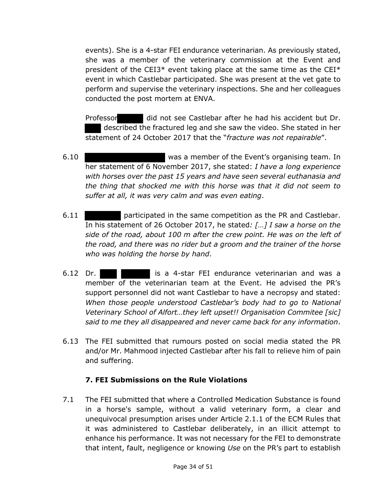events). She is a 4-star FEI endurance veterinarian. As previously stated, she was a member of the veterinary commission at the Event and president of the CEI3\* event taking place at the same time as the CEI\* event in which Castlebar participated. She was present at the vet gate to perform and supervise the veterinary inspections. She and her colleagues conducted the post mortem at ENVA.

Professor did not see Castlebar after he had his accident but Dr. described the fractured leg and she saw the video. She stated in her statement of 24 October 2017 that the "*fracture was not repairable*".

- 6.10 was a member of the Event's organising team. In her statement of 6 November 2017, she stated: *I have a long experience with horses over the past 15 years and have seen several euthanasia and the thing that shocked me with this horse was that it did not seem to suffer at all, it was very calm and was even eating*.
- 6.11 participated in the same competition as the PR and Castlebar. In his statement of 26 October 2017, he stated*: […] I saw a horse on the side of the road, about 100 m after the crew point. He was on the left of the road, and there was no rider but a groom and the trainer of the horse who was holding the horse by hand*.
- 6.12 Dr. is a 4-star FEI endurance veterinarian and was a member of the veterinarian team at the Event. He advised the PR's support personnel did not want Castlebar to have a necropsy and stated: *When those people understood Castlebar's body had to go to National Veterinary School of Alfort…they left upset!! Organisation Commitee [sic] said to me they all disappeared and never came back for any information*.
- 6.13 The FEI submitted that rumours posted on social media stated the PR and/or Mr. Mahmood injected Castlebar after his fall to relieve him of pain and suffering.

## **7. FEI Submissions on the Rule Violations**

7.1 The FEI submitted that where a Controlled Medication Substance is found in a horse's sample, without a valid veterinary form, a clear and unequivocal presumption arises under Article 2.1.1 of the ECM Rules that it was administered to Castlebar deliberately, in an illicit attempt to enhance his performance. It was not necessary for the FEI to demonstrate that intent, fault, negligence or knowing *Use* on the PR's part to establish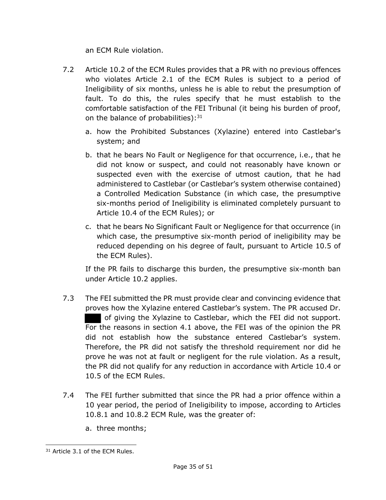an ECM Rule violation.

- 7.2 Article 10.2 of the ECM Rules provides that a PR with no previous offences who violates Article 2.1 of the ECM Rules is subject to a period of Ineligibility of six months, unless he is able to rebut the presumption of fault. To do this, the rules specify that he must establish to the comfortable satisfaction of the FEI Tribunal (it being his burden of proof, on the balance of probabilities): $31$ 
	- a. how the Prohibited Substances (Xylazine) entered into Castlebar's system; and
	- b. that he bears No Fault or Negligence for that occurrence, i.e., that he did not know or suspect, and could not reasonably have known or suspected even with the exercise of utmost caution, that he had administered to Castlebar (or Castlebar's system otherwise contained) a Controlled Medication Substance (in which case, the presumptive six-months period of Ineligibility is eliminated completely pursuant to Article 10.4 of the ECM Rules); or
	- c. that he bears No Significant Fault or Negligence for that occurrence (in which case, the presumptive six-month period of ineligibility may be reduced depending on his degree of fault, pursuant to Article 10.5 of the ECM Rules).

If the PR fails to discharge this burden, the presumptive six-month ban under Article 10.2 applies.

- 7.3 The FEI submitted the PR must provide clear and convincing evidence that proves how the Xylazine entered Castlebar's system. The PR accused Dr. of giving the Xylazine to Castlebar, which the FEI did not support. For the reasons in section 4.1 above, the FEI was of the opinion the PR did not establish how the substance entered Castlebar's system. Therefore, the PR did not satisfy the threshold requirement nor did he prove he was not at fault or negligent for the rule violation. As a result, the PR did not qualify for any reduction in accordance with Article 10.4 or 10.5 of the ECM Rules.
- 7.4 The FEI further submitted that since the PR had a prior offence within a 10 year period, the period of Ineligibility to impose, according to Articles 10.8.1 and 10.8.2 ECM Rule, was the greater of:
	- a. three months;

<sup>&</sup>lt;sup>31</sup> Article 3.1 of the ECM Rules.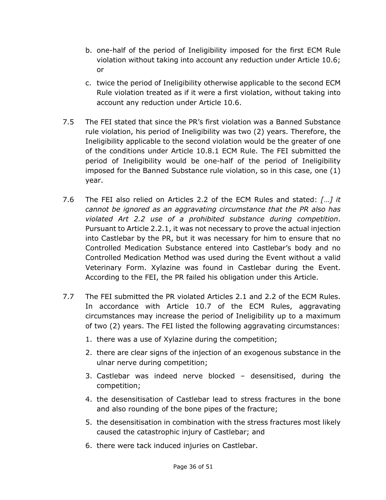- b. one-half of the period of Ineligibility imposed for the first ECM Rule violation without taking into account any reduction under Article 10.6; or
- c. twice the period of Ineligibility otherwise applicable to the second ECM Rule violation treated as if it were a first violation, without taking into account any reduction under Article 10.6.
- 7.5 The FEI stated that since the PR's first violation was a Banned Substance rule violation, his period of Ineligibility was two (2) years. Therefore, the Ineligibility applicable to the second violation would be the greater of one of the conditions under Article 10.8.1 ECM Rule. The FEI submitted the period of Ineligibility would be one-half of the period of Ineligibility imposed for the Banned Substance rule violation, so in this case, one (1) year.
- 7.6 The FEI also relied on Articles 2.2 of the ECM Rules and stated: *[*…*] it cannot be ignored as an aggravating circumstance that the PR also has violated Art 2.2 use of a prohibited substance during competition*. Pursuant to Article 2.2.1, it was not necessary to prove the actual injection into Castlebar by the PR, but it was necessary for him to ensure that no Controlled Medication Substance entered into Castlebar's body and no Controlled Medication Method was used during the Event without a valid Veterinary Form. Xylazine was found in Castlebar during the Event. According to the FEI, the PR failed his obligation under this Article.
- 7.7 The FEI submitted the PR violated Articles 2.1 and 2.2 of the ECM Rules. In accordance with Article 10.7 of the ECM Rules, aggravating circumstances may increase the period of Ineligibility up to a maximum of two (2) years. The FEI listed the following aggravating circumstances:
	- 1. there was a use of Xylazine during the competition;
	- 2. there are clear signs of the injection of an exogenous substance in the ulnar nerve during competition;
	- 3. Castlebar was indeed nerve blocked desensitised, during the competition;
	- 4. the desensitisation of Castlebar lead to stress fractures in the bone and also rounding of the bone pipes of the fracture;
	- 5. the desensitisation in combination with the stress fractures most likely caused the catastrophic injury of Castlebar; and
	- 6. there were tack induced injuries on Castlebar.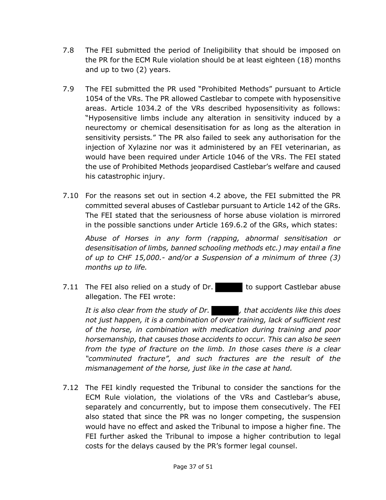- 7.8 The FEI submitted the period of Ineligibility that should be imposed on the PR for the ECM Rule violation should be at least eighteen (18) months and up to two (2) years.
- 7.9 The FEI submitted the PR used "Prohibited Methods" pursuant to Article 1054 of the VRs. The PR allowed Castlebar to compete with hyposensitive areas. Article 1034.2 of the VRs described hyposensitivity as follows: "Hyposensitive limbs include any alteration in sensitivity induced by a neurectomy or chemical desensitisation for as long as the alteration in sensitivity persists*.*" The PR also failed to seek any authorisation for the injection of Xylazine nor was it administered by an FEI veterinarian, as would have been required under Article 1046 of the VRs. The FEI stated the use of Prohibited Methods jeopardised Castlebar's welfare and caused his catastrophic injury.
- 7.10 For the reasons set out in section 4.2 above, the FEI submitted the PR committed several abuses of Castlebar pursuant to Article 142 of the GRs. The FEI stated that the seriousness of horse abuse violation is mirrored in the possible sanctions under Article 169.6.2 of the GRs, which states:

*Abuse of Horses in any form (rapping, abnormal sensitisation or desensitisation of limbs, banned schooling methods etc.) may entail a fine of up to CHF 15,000.- and/or a Suspension of a minimum of three (3) months up to life.*

7.11 The FEI also relied on a study of Dr. to support Castlebar abuse allegation. The FEI wrote:

*It is also clear from the study of Dr. , that accidents like this does not just happen, it is a combination of over training, lack of sufficient rest of the horse, in combination with medication during training and poor horsemanship, that causes those accidents to occur. This can also be seen from the type of fracture on the limb. In those cases there is a clear "comminuted fracture", and such fractures are the result of the mismanagement of the horse, just like in the case at hand.*

7.12 The FEI kindly requested the Tribunal to consider the sanctions for the ECM Rule violation, the violations of the VRs and Castlebar's abuse, separately and concurrently, but to impose them consecutively. The FEI also stated that since the PR was no longer competing, the suspension would have no effect and asked the Tribunal to impose a higher fine. The FEI further asked the Tribunal to impose a higher contribution to legal costs for the delays caused by the PR's former legal counsel.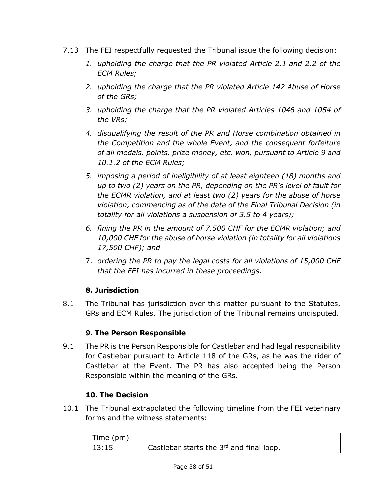- 7.13 The FEI respectfully requested the Tribunal issue the following decision:
	- *1. upholding the charge that the PR violated Article 2.1 and 2.2 of the ECM Rules;*
	- *2. upholding the charge that the PR violated Article 142 Abuse of Horse of the GRs;*
	- *3. upholding the charge that the PR violated Articles 1046 and 1054 of the VRs;*
	- *4. disqualifying the result of the PR and Horse combination obtained in the Competition and the whole Event, and the consequent forfeiture of all medals, points, prize money, etc. won, pursuant to Article 9 and 10.1.2 of the ECM Rules;*
	- *5. imposing a period of ineligibility of at least eighteen (18) months and up to two (2) years on the PR, depending on the PR's level of fault for the ECMR violation, and at least two (2) years for the abuse of horse violation, commencing as of the date of the Final Tribunal Decision (in totality for all violations a suspension of 3.5 to 4 years);*
	- *6. fining the PR in the amount of 7,500 CHF for the ECMR violation; and 10,000 CHF for the abuse of horse violation (in totality for all violations 17,500 CHF); and*
	- 7. *ordering the PR to pay the legal costs for all violations of 15,000 CHF that the FEI has incurred in these proceedings.*

# **8. Jurisdiction**

8.1 The Tribunal has jurisdiction over this matter pursuant to the Statutes, GRs and ECM Rules. The jurisdiction of the Tribunal remains undisputed.

# **9. The Person Responsible**

9.1 The PR is the Person Responsible for Castlebar and had legal responsibility for Castlebar pursuant to Article 118 of the GRs, as he was the rider of Castlebar at the Event. The PR has also accepted being the Person Responsible within the meaning of the GRs.

# **10. The Decision**

10.1 The Tribunal extrapolated the following timeline from the FEI veterinary forms and the witness statements:

| Time (pm) |                                          |
|-----------|------------------------------------------|
| 13:15     | Castlebar starts the 3rd and final loop. |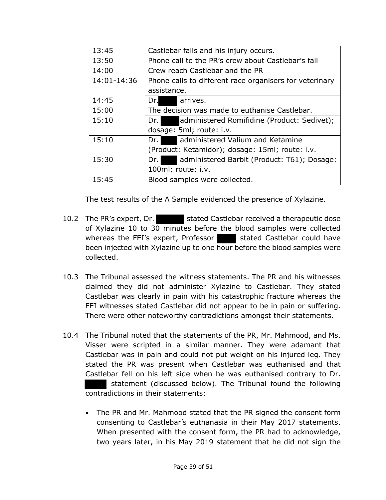| 13:45       | Castlebar falls and his injury occurs.                  |  |  |
|-------------|---------------------------------------------------------|--|--|
| 13:50       | Phone call to the PR's crew about Castlebar's fall      |  |  |
| 14:00       | Crew reach Castlebar and the PR                         |  |  |
| 14:01-14:36 | Phone calls to different race organisers for veterinary |  |  |
|             | assistance.                                             |  |  |
| 14:45       | Dr.<br>arrives.                                         |  |  |
| 15:00       | The decision was made to euthanise Castlebar.           |  |  |
| 15:10       | administered Romifidine (Product: Sedivet);<br>Dr.      |  |  |
|             | dosage: 5ml; route: i.v.                                |  |  |
| 15:10       | administered Valium and Ketamine<br>Dr.                 |  |  |
|             | (Product: Ketamidor); dosage: 15ml; route: i.v.         |  |  |
| 15:30       | administered Barbit (Product: T61); Dosage:<br>Dr.      |  |  |
|             | 100ml; route: i.v.                                      |  |  |
| 15:45       | Blood samples were collected.                           |  |  |

The test results of the A Sample evidenced the presence of Xylazine.

- 10.2 The PR's expert, Dr. stated Castlebar received a therapeutic dose of Xylazine 10 to 30 minutes before the blood samples were collected whereas the FEI's expert, Professor stated Castlebar could have been injected with Xylazine up to one hour before the blood samples were collected.
- 10.3 The Tribunal assessed the witness statements. The PR and his witnesses claimed they did not administer Xylazine to Castlebar. They stated Castlebar was clearly in pain with his catastrophic fracture whereas the FEI witnesses stated Castlebar did not appear to be in pain or suffering. There were other noteworthy contradictions amongst their statements.
- 10.4 The Tribunal noted that the statements of the PR, Mr. Mahmood, and Ms. Visser were scripted in a similar manner. They were adamant that Castlebar was in pain and could not put weight on his injured leg. They stated the PR was present when Castlebar was euthanised and that Castlebar fell on his left side when he was euthanised contrary to Dr. statement (discussed below). The Tribunal found the following contradictions in their statements:
	- The PR and Mr. Mahmood stated that the PR signed the consent form consenting to Castlebar's euthanasia in their May 2017 statements. When presented with the consent form, the PR had to acknowledge, two years later, in his May 2019 statement that he did not sign the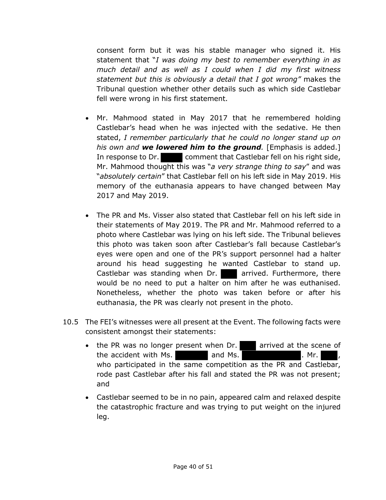consent form but it was his stable manager who signed it. His statement that "*I was doing my best to remember everything in as much detail and as well as I could when I did my first witness statement but this is obviously a detail that I got wrong"* makes the Tribunal question whether other details such as which side Castlebar fell were wrong in his first statement.

- Mr. Mahmood stated in May 2017 that he remembered holding Castlebar's head when he was injected with the sedative. He then stated, *I remember particularly that he could no longer stand up on his own and we lowered him to the ground.* [Emphasis is added.] In response to Dr. comment that Castlebar fell on his right side, Mr. Mahmood thought this was "*a very strange thing to say*" and was "*absolutely certain*" that Castlebar fell on his left side in May 2019. His memory of the euthanasia appears to have changed between May 2017 and May 2019.
- The PR and Ms. Visser also stated that Castlebar fell on his left side in their statements of May 2019. The PR and Mr. Mahmood referred to a photo where Castlebar was lying on his left side. The Tribunal believes this photo was taken soon after Castlebar's fall because Castlebar's eyes were open and one of the PR's support personnel had a halter around his head suggesting he wanted Castlebar to stand up. Castlebar was standing when Dr.  $\blacksquare$  arrived. Furthermore, there would be no need to put a halter on him after he was euthanised. Nonetheless, whether the photo was taken before or after his euthanasia, the PR was clearly not present in the photo.
- 10.5 The FEI's witnesses were all present at the Event. The following facts were consistent amongst their statements:
	- the PR was no longer present when Dr. arrived at the scene of the accident with Ms. **All and Ms. and Ms. All and Ms. All and Ms. All and Ms. All and Ms. All and Ms. All and Ms. All and Ms. All and Ms. All and Ms. All and Ms. All and Ms. All and Ms. All and** who participated in the same competition as the PR and Castlebar, rode past Castlebar after his fall and stated the PR was not present; and
	- Castlebar seemed to be in no pain, appeared calm and relaxed despite the catastrophic fracture and was trying to put weight on the injured leg.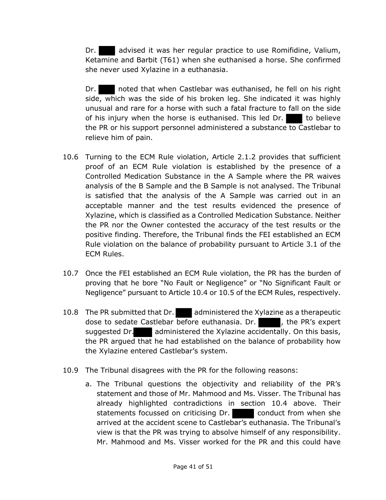Dr. **a** advised it was her regular practice to use Romifidine, Valium, Ketamine and Barbit (T61) when she euthanised a horse. She confirmed she never used Xylazine in a euthanasia.

Dr. noted that when Castlebar was euthanised, he fell on his right side, which was the side of his broken leg. She indicated it was highly unusual and rare for a horse with such a fatal fracture to fall on the side of his injury when the horse is euthanised. This led Dr.  $\blacksquare$  to believe the PR or his support personnel administered a substance to Castlebar to relieve him of pain.

- 10.6 Turning to the ECM Rule violation, Article 2.1.2 provides that sufficient proof of an ECM Rule violation is established by the presence of a Controlled Medication Substance in the A Sample where the PR waives analysis of the B Sample and the B Sample is not analysed. The Tribunal is satisfied that the analysis of the A Sample was carried out in an acceptable manner and the test results evidenced the presence of Xylazine, which is classified as a Controlled Medication Substance. Neither the PR nor the Owner contested the accuracy of the test results or the positive finding. Therefore, the Tribunal finds the FEI established an ECM Rule violation on the balance of probability pursuant to Article 3.1 of the ECM Rules.
- 10.7 Once the FEI established an ECM Rule violation, the PR has the burden of proving that he bore "No Fault or Negligence" or "No Significant Fault or Negligence" pursuant to Article 10.4 or 10.5 of the ECM Rules, respectively.
- 10.8 The PR submitted that Dr. administered the Xylazine as a therapeutic dose to sedate Castlebar before euthanasia. Dr.  $\blacksquare$ , the PR's expert suggested Dr. administered the Xylazine accidentally. On this basis, the PR argued that he had established on the balance of probability how the Xylazine entered Castlebar's system.
- 10.9 The Tribunal disagrees with the PR for the following reasons:
	- a. The Tribunal questions the objectivity and reliability of the PR's statement and those of Mr. Mahmood and Ms. Visser. The Tribunal has already highlighted contradictions in section 10.4 above. Their statements focussed on criticising Dr. conduct from when she arrived at the accident scene to Castlebar's euthanasia. The Tribunal's view is that the PR was trying to absolve himself of any responsibility. Mr. Mahmood and Ms. Visser worked for the PR and this could have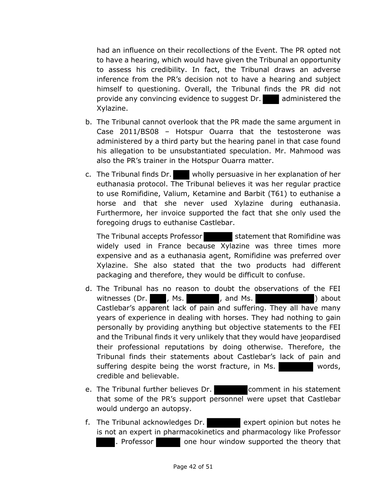had an influence on their recollections of the Event. The PR opted not to have a hearing, which would have given the Tribunal an opportunity to assess his credibility. In fact, the Tribunal draws an adverse inference from the PR's decision not to have a hearing and subject himself to questioning. Overall, the Tribunal finds the PR did not provide any convincing evidence to suggest Dr. administered the Xylazine.

- b. The Tribunal cannot overlook that the PR made the same argument in Case 2011/BS08 – Hotspur Ouarra that the testosterone was administered by a third party but the hearing panel in that case found his allegation to be unsubstantiated speculation. Mr. Mahmood was also the PR's trainer in the Hotspur Ouarra matter.
- c. The Tribunal finds Dr. wholly persuasive in her explanation of her euthanasia protocol. The Tribunal believes it was her regular practice to use Romifidine, Valium, Ketamine and Barbit (T61) to euthanise a horse and that she never used Xylazine during euthanasia. Furthermore, her invoice supported the fact that she only used the foregoing drugs to euthanise Castlebar.

The Tribunal accepts Professor statement that Romifidine was widely used in France because Xylazine was three times more expensive and as a euthanasia agent, Romifidine was preferred over Xylazine. She also stated that the two products had different packaging and therefore, they would be difficult to confuse.

- d. The Tribunal has no reason to doubt the observations of the FEI witnesses (Dr. , Ms. , and Ms. ) about Castlebar's apparent lack of pain and suffering. They all have many years of experience in dealing with horses. They had nothing to gain personally by providing anything but objective statements to the FEI and the Tribunal finds it very unlikely that they would have jeopardised their professional reputations by doing otherwise. Therefore, the Tribunal finds their statements about Castlebar's lack of pain and suffering despite being the worst fracture, in Ms. credible and believable.
- e. The Tribunal further believes Dr. **Comment in his statement** that some of the PR's support personnel were upset that Castlebar would undergo an autopsy.
- f. The Tribunal acknowledges Dr. expert opinion but notes he is not an expert in pharmacokinetics and pharmacology like Professor . Professor **containt** one hour window supported the theory that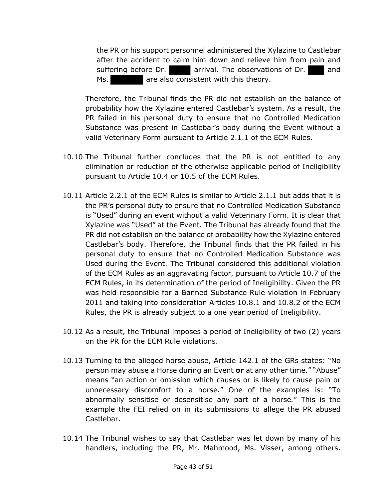the PR or his support personnel administered the Xylazine to Castlebar after the accident to calm him down and relieve him from pain and suffering before Dr. **arrival.** The observations of Dr. **and** Ms. **Also are also consistent with this theory.** 

Therefore, the Tribunal finds the PR did not establish on the balance of probability how the Xylazine entered Castlebar's system. As a result, the PR failed in his personal duty to ensure that no Controlled Medication Substance was present in Castlebar's body during the Event without a valid Veterinary Form pursuant to Article 2.1.1 of the ECM Rules.

- 10.10 The Tribunal further concludes that the PR is not entitled to any elimination or reduction of the otherwise applicable period of Ineligibility pursuant to Article 10.4 or 10.5 of the ECM Rules.
- 10.11 Article 2.2.1 of the ECM Rules is similar to Article 2.1.1 but adds that it is the PR's personal duty to ensure that no Controlled Medication Substance is "Used" during an event without a valid Veterinary Form. It is clear that Xylazine was "Used" at the Event. The Tribunal has already found that the PR did not establish on the balance of probability how the Xylazine entered Castlebar's body. Therefore, the Tribunal finds that the PR failed in his personal duty to ensure that no Controlled Medication Substance was Used during the Event. The Tribunal considered this additional violation of the ECM Rules as an aggravating factor, pursuant to Article 10.7 of the ECM Rules, in its determination of the period of Ineligibility. Given the PR was held responsible for a Banned Substance Rule violation in February 2011 and taking into consideration Articles 10.8.1 and 10.8.2 of the ECM Rules, the PR is already subject to a one year period of Ineligibility.
- 10.12 As a result, the Tribunal imposes a period of Ineligibility of two (2) years on the PR for the ECM Rule violations.
- 10.13 Turning to the alleged horse abuse, Article 142.1 of the GRs states: "No person may abuse a Horse during an Event **or** at any other time." "Abuse" means "an action or omission which causes or is likely to cause pain or unnecessary discomfort to a horse." One of the examples is: "To abnormally sensitise or desensitise any part of a horse*.*" This is the example the FEI relied on in its submissions to allege the PR abused Castlebar.
- 10.14 The Tribunal wishes to say that Castlebar was let down by many of his handlers, including the PR, Mr. Mahmood, Ms. Visser, among others.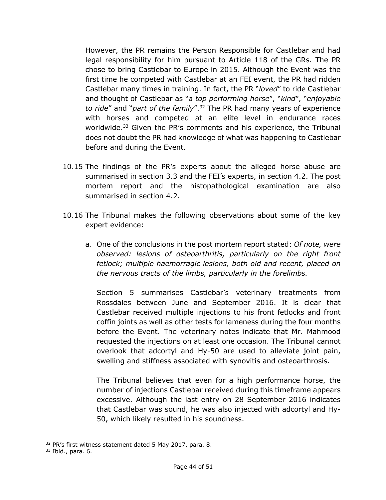However, the PR remains the Person Responsible for Castlebar and had legal responsibility for him pursuant to Article 118 of the GRs. The PR chose to bring Castlebar to Europe in 2015. Although the Event was the first time he competed with Castlebar at an FEI event, the PR had ridden Castlebar many times in training. In fact, the PR "*loved*" to ride Castlebar and thought of Castlebar as "*a top performing horse*", "*kind*", "*enjoyable to ride*" and "*part of the family*". <sup>32</sup> The PR had many years of experience with horses and competed at an elite level in endurance races worldwide.33 Given the PR's comments and his experience, the Tribunal does not doubt the PR had knowledge of what was happening to Castlebar before and during the Event.

- 10.15 The findings of the PR's experts about the alleged horse abuse are summarised in section 3.3 and the FEI's experts, in section 4.2. The post mortem report and the histopathological examination are also summarised in section 4.2.
- 10.16 The Tribunal makes the following observations about some of the key expert evidence:
	- a. One of the conclusions in the post mortem report stated: *Of note, were observed: lesions of osteoarthritis, particularly on the right front fetlock; multiple haemorragic lesions, both old and recent, placed on the nervous tracts of the limbs, particularly in the forelimbs.*

Section 5 summarises Castlebar's veterinary treatments from Rossdales between June and September 2016. It is clear that Castlebar received multiple injections to his front fetlocks and front coffin joints as well as other tests for lameness during the four months before the Event. The veterinary notes indicate that Mr. Mahmood requested the injections on at least one occasion. The Tribunal cannot overlook that adcortyl and Hy-50 are used to alleviate joint pain, swelling and stiffness associated with synovitis and osteoarthrosis.

The Tribunal believes that even for a high performance horse, the number of injections Castlebar received during this timeframe appears excessive. Although the last entry on 28 September 2016 indicates that Castlebar was sound, he was also injected with adcortyl and Hy-50, which likely resulted in his soundness.

<sup>&</sup>lt;sup>32</sup> PR's first witness statement dated 5 May 2017, para. 8.

<sup>33</sup> Ibid., para. 6.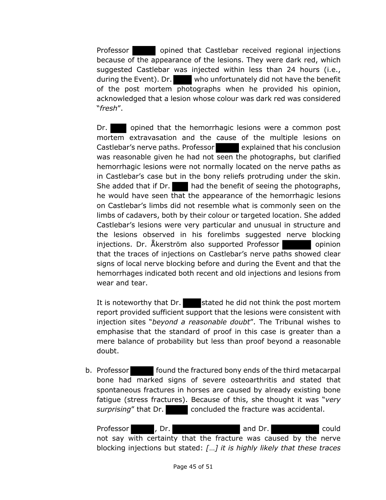Professor **opined that Castlebar received regional injections** because of the appearance of the lesions. They were dark red, which suggested Castlebar was injected within less than 24 hours (i.e., during the Event). Dr. who unfortunately did not have the benefit of the post mortem photographs when he provided his opinion, acknowledged that a lesion whose colour was dark red was considered "*fresh*".

Dr. opined that the hemorrhagic lesions were a common post mortem extravasation and the cause of the multiple lesions on Castlebar's nerve paths. Professor explained that his conclusion was reasonable given he had not seen the photographs, but clarified hemorrhagic lesions were not normally located on the nerve paths as in Castlebar's case but in the bony reliefs protruding under the skin. She added that if Dr. had the benefit of seeing the photographs, he would have seen that the appearance of the hemorrhagic lesions on Castlebar's limbs did not resemble what is commonly seen on the limbs of cadavers, both by their colour or targeted location. She added Castlebar's lesions were very particular and unusual in structure and the lesions observed in his forelimbs suggested nerve blocking injections. Dr. Åkerström also supported Professor **opinion** that the traces of injections on Castlebar's nerve paths showed clear signs of local nerve blocking before and during the Event and that the hemorrhages indicated both recent and old injections and lesions from wear and tear.

It is noteworthy that  $Dr.$  stated he did not think the post mortem report provided sufficient support that the lesions were consistent with injection sites "*beyond a reasonable doubt*". The Tribunal wishes to emphasise that the standard of proof in this case is greater than a mere balance of probability but less than proof beyond a reasonable doubt.

b. Professor **found the fractured bony ends of the third metacarpal** bone had marked signs of severe osteoarthritis and stated that spontaneous fractures in horses are caused by already existing bone fatigue (stress fractures). Because of this, she thought it was "*very*  surprising" that Dr. concluded the fracture was accidental.

Professor , Dr. and Dr. and Dr. could not say with certainty that the fracture was caused by the nerve blocking injections but stated: *[*…*] it is highly likely that these traces*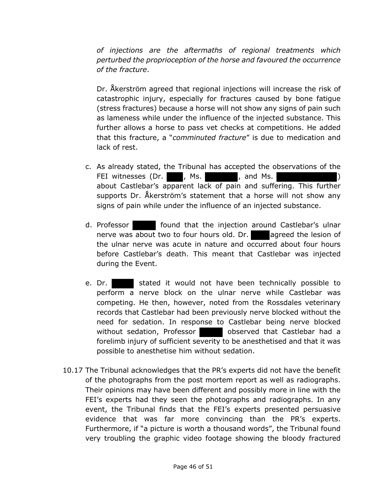*of injections are the aftermaths of regional treatments which perturbed the proprioception of the horse and favoured the occurrence of the fracture*.

Dr. Åkerström agreed that regional injections will increase the risk of catastrophic injury, especially for fractures caused by bone fatigue (stress fractures) because a horse will not show any signs of pain such as lameness while under the influence of the injected substance. This further allows a horse to pass vet checks at competitions. He added that this fracture, a "*comminuted fracture*" is due to medication and lack of rest.

- c. As already stated, the Tribunal has accepted the observations of the FEI witnesses (Dr. , Ms. , and Ms. ) about Castlebar's apparent lack of pain and suffering. This further supports Dr. Åkerström's statement that a horse will not show any signs of pain while under the influence of an injected substance.
- d. Professor found that the injection around Castlebar's ulnar nerve was about two to four hours old. Dr. agreed the lesion of the ulnar nerve was acute in nature and occurred about four hours before Castlebar's death. This meant that Castlebar was injected during the Event.
- e. Dr. Stated it would not have been technically possible to perform a nerve block on the ulnar nerve while Castlebar was competing. He then, however, noted from the Rossdales veterinary records that Castlebar had been previously nerve blocked without the need for sedation. In response to Castlebar being nerve blocked without sedation, Professor **by observed that Castlebar had a** forelimb injury of sufficient severity to be anesthetised and that it was possible to anesthetise him without sedation.
- 10.17 The Tribunal acknowledges that the PR's experts did not have the benefit of the photographs from the post mortem report as well as radiographs. Their opinions may have been different and possibly more in line with the FEI's experts had they seen the photographs and radiographs. In any event, the Tribunal finds that the FEI's experts presented persuasive evidence that was far more convincing than the PR's experts. Furthermore, if "a picture is worth a thousand words", the Tribunal found very troubling the graphic video footage showing the bloody fractured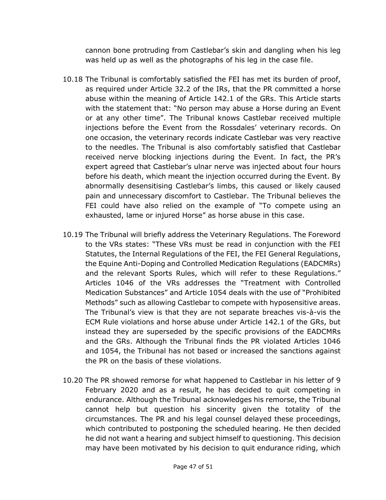cannon bone protruding from Castlebar's skin and dangling when his leg was held up as well as the photographs of his leg in the case file.

- 10.18 The Tribunal is comfortably satisfied the FEI has met its burden of proof, as required under Article 32.2 of the IRs, that the PR committed a horse abuse within the meaning of Article 142.1 of the GRs. This Article starts with the statement that: "No person may abuse a Horse during an Event or at any other time". The Tribunal knows Castlebar received multiple injections before the Event from the Rossdales' veterinary records. On one occasion, the veterinary records indicate Castlebar was very reactive to the needles. The Tribunal is also comfortably satisfied that Castlebar received nerve blocking injections during the Event. In fact, the PR's expert agreed that Castlebar's ulnar nerve was injected about four hours before his death, which meant the injection occurred during the Event. By abnormally desensitising Castlebar's limbs, this caused or likely caused pain and unnecessary discomfort to Castlebar. The Tribunal believes the FEI could have also relied on the example of "To compete using an exhausted, lame or injured Horse" as horse abuse in this case.
- 10.19 The Tribunal will briefly address the Veterinary Regulations. The Foreword to the VRs states: "These VRs must be read in conjunction with the FEI Statutes, the Internal Regulations of the FEI, the FEI General Regulations, the Equine Anti-Doping and Controlled Medication Regulations (EADCMRs) and the relevant Sports Rules, which will refer to these Regulations." Articles 1046 of the VRs addresses the "Treatment with Controlled Medication Substances" and Article 1054 deals with the use of "Prohibited Methods" such as allowing Castlebar to compete with hyposensitive areas. The Tribunal's view is that they are not separate breaches vis-à-vis the ECM Rule violations and horse abuse under Article 142.1 of the GRs, but instead they are superseded by the specific provisions of the EADCMRs and the GRs. Although the Tribunal finds the PR violated Articles 1046 and 1054, the Tribunal has not based or increased the sanctions against the PR on the basis of these violations.
- 10.20 The PR showed remorse for what happened to Castlebar in his letter of 9 February 2020 and as a result, he has decided to quit competing in endurance. Although the Tribunal acknowledges his remorse, the Tribunal cannot help but question his sincerity given the totality of the circumstances. The PR and his legal counsel delayed these proceedings, which contributed to postponing the scheduled hearing. He then decided he did not want a hearing and subject himself to questioning. This decision may have been motivated by his decision to quit endurance riding, which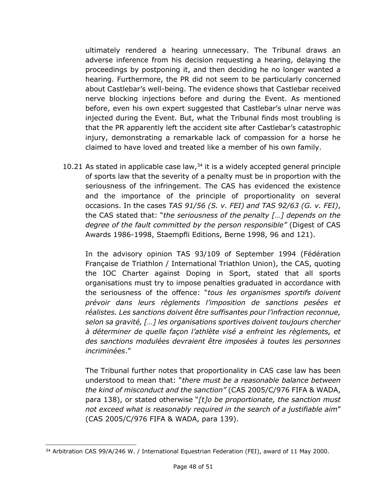ultimately rendered a hearing unnecessary. The Tribunal draws an adverse inference from his decision requesting a hearing, delaying the proceedings by postponing it, and then deciding he no longer wanted a hearing. Furthermore, the PR did not seem to be particularly concerned about Castlebar's well-being. The evidence shows that Castlebar received nerve blocking injections before and during the Event. As mentioned before, even his own expert suggested that Castlebar's ulnar nerve was injected during the Event. But, what the Tribunal finds most troubling is that the PR apparently left the accident site after Castlebar's catastrophic injury, demonstrating a remarkable lack of compassion for a horse he claimed to have loved and treated like a member of his own family.

10.21 As stated in applicable case law, $34$  it is a widely accepted general principle of sports law that the severity of a penalty must be in proportion with the seriousness of the infringement. The CAS has evidenced the existence and the importance of the principle of proportionality on several occasions. In the cases *TAS 91/56 (S. v. FEI) and TAS 92/63 (G. v. FEI)*, the CAS stated that: "*the seriousness of the penalty […] depends on the degree of the fault committed by the person responsible"* (Digest of CAS Awards 1986-1998, Staempfli Editions, Berne 1998, 96 and 121).

In the advisory opinion TAS 93/109 of September 1994 (Fédération Française de Triathlon / International Triathlon Union), the CAS, quoting the IOC Charter against Doping in Sport, stated that all sports organisations must try to impose penalties graduated in accordance with the seriousness of the offence: "*tous les organismes sportifs doivent prévoir dans leurs règlements l'imposition de sanctions pesées et réalistes. Les sanctions doivent être suffisantes pour l'infraction reconnue, selon sa gravité, […] les organisations sportives doivent toujours chercher à déterminer de quelle façon l'athlète visé a enfreint les règlements, et des sanctions modulées devraient être imposées à toutes les personnes incriminées*."

The Tribunal further notes that proportionality in CAS case law has been understood to mean that: "*there must be a reasonable balance between the kind of misconduct and the sanction"* (CAS 2005/C/976 FIFA & WADA, para 138), or stated otherwise "*[t]o be proportionate, the sanction must not exceed what is reasonably required in the search of a justifiable aim*" (CAS 2005/C/976 FIFA & WADA, para 139).

<sup>&</sup>lt;sup>34</sup> Arbitration CAS 99/A/246 W. / International Equestrian Federation (FEI), award of 11 May 2000.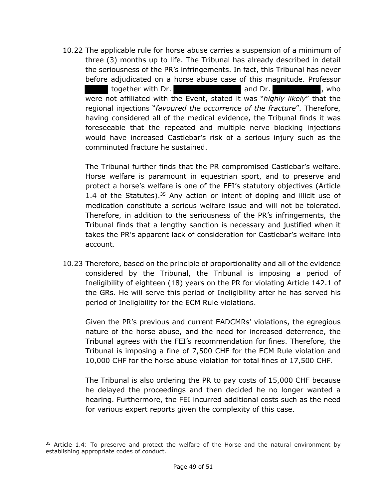10.22 The applicable rule for horse abuse carries a suspension of a minimum of three (3) months up to life. The Tribunal has already described in detail the seriousness of the PR's infringements. In fact, this Tribunal has never before adjudicated on a horse abuse case of this magnitude. Professor together with Dr. **and Dr.** and Dr. **and Dr.**  $\alpha$ , who were not affiliated with the Event, stated it was "*highly likely*" that the regional injections "*favoured the occurrence of the fracture*". Therefore, having considered all of the medical evidence, the Tribunal finds it was foreseeable that the repeated and multiple nerve blocking injections would have increased Castlebar's risk of a serious injury such as the comminuted fracture he sustained.

The Tribunal further finds that the PR compromised Castlebar's welfare. Horse welfare is paramount in equestrian sport, and to preserve and protect a horse's welfare is one of the FEI's statutory objectives (Article 1.4 of the Statutes). $35$  Any action or intent of doping and illicit use of medication constitute a serious welfare issue and will not be tolerated. Therefore, in addition to the seriousness of the PR's infringements, the Tribunal finds that a lengthy sanction is necessary and justified when it takes the PR's apparent lack of consideration for Castlebar's welfare into account.

10.23 Therefore, based on the principle of proportionality and all of the evidence considered by the Tribunal, the Tribunal is imposing a period of Ineligibility of eighteen (18) years on the PR for violating Article 142.1 of the GRs. He will serve this period of Ineligibility after he has served his period of Ineligibility for the ECM Rule violations.

Given the PR's previous and current EADCMRs' violations, the egregious nature of the horse abuse, and the need for increased deterrence, the Tribunal agrees with the FEI's recommendation for fines. Therefore, the Tribunal is imposing a fine of 7,500 CHF for the ECM Rule violation and 10,000 CHF for the horse abuse violation for total fines of 17,500 CHF.

The Tribunal is also ordering the PR to pay costs of 15,000 CHF because he delayed the proceedings and then decided he no longer wanted a hearing. Furthermore, the FEI incurred additional costs such as the need for various expert reports given the complexity of this case.

 $35$  Article 1.4: To preserve and protect the welfare of the Horse and the natural environment by establishing appropriate codes of conduct.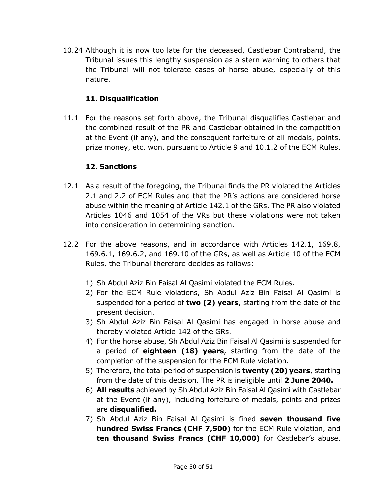10.24 Although it is now too late for the deceased, Castlebar Contraband, the Tribunal issues this lengthy suspension as a stern warning to others that the Tribunal will not tolerate cases of horse abuse, especially of this nature.

## **11. Disqualification**

11.1 For the reasons set forth above, the Tribunal disqualifies Castlebar and the combined result of the PR and Castlebar obtained in the competition at the Event (if any), and the consequent forfeiture of all medals, points, prize money, etc. won, pursuant to Article 9 and 10.1.2 of the ECM Rules.

## **12. Sanctions**

- 12.1 As a result of the foregoing, the Tribunal finds the PR violated the Articles 2.1 and 2.2 of ECM Rules and that the PR's actions are considered horse abuse within the meaning of Article 142.1 of the GRs. The PR also violated Articles 1046 and 1054 of the VRs but these violations were not taken into consideration in determining sanction.
- 12.2 For the above reasons, and in accordance with Articles 142.1, 169.8, 169.6.1, 169.6.2, and 169.10 of the GRs, as well as Article 10 of the ECM Rules, the Tribunal therefore decides as follows:
	- 1) Sh Abdul Aziz Bin Faisal Al Qasimi violated the ECM Rules.
	- 2) For the ECM Rule violations, Sh Abdul Aziz Bin Faisal Al Qasimi is suspended for a period of **two (2) years**, starting from the date of the present decision.
	- 3) Sh Abdul Aziz Bin Faisal Al Qasimi has engaged in horse abuse and thereby violated Article 142 of the GRs.
	- 4) For the horse abuse, Sh Abdul Aziz Bin Faisal Al Qasimi is suspended for a period of **eighteen (18) years**, starting from the date of the completion of the suspension for the ECM Rule violation.
	- 5) Therefore, the total period of suspension is **twenty (20) years**, starting from the date of this decision. The PR is ineligible until **2 June 2040.**
	- 6) **All results** achieved by Sh Abdul Aziz Bin Faisal Al Qasimi with Castlebar at the Event (if any), including forfeiture of medals, points and prizes are **disqualified.**
	- 7) Sh Abdul Aziz Bin Faisal Al Qasimi is fined **seven thousand five hundred Swiss Francs (CHF 7,500)** for the ECM Rule violation, and **ten thousand Swiss Francs (CHF 10,000)** for Castlebar's abuse.